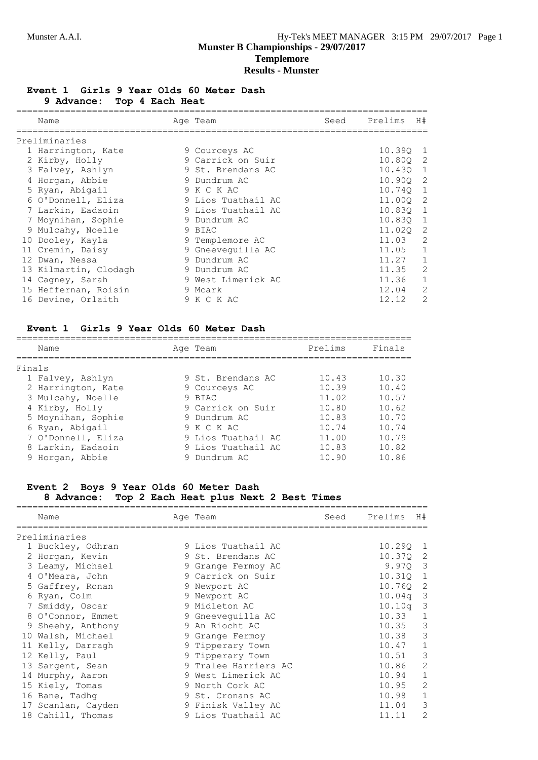### **Event 1 Girls 9 Year Olds 60 Meter Dash 9 Advance: Top 4 Each Heat**

| Name                  | Age Team           | Seed | Prelims    | H#           |
|-----------------------|--------------------|------|------------|--------------|
| Preliminaries         |                    |      |            |              |
| 1 Harrington, Kate    | 9 Courceys AC      |      | 10.390 1   |              |
| 2 Kirby, Holly        | 9 Carrick on Suir  |      | 10.80Q 2   |              |
| 3 Falvey, Ashlyn      | 9 St. Brendans AC  |      | $10.43Q$ 1 |              |
| 4 Horgan, Abbie       | 9 Dundrum AC       |      | 10.900 2   |              |
| 5 Ryan, Abigail       | 9 K C K AC         |      | 10.740 1   |              |
| 6 O'Donnell, Eliza    | 9 Lios Tuathail AC |      | 11.000 2   |              |
| 7 Larkin, Eadaoin     | 9 Lios Tuathail AC |      | 10.830 1   |              |
| 7 Moynihan, Sophie    | 9 Dundrum AC       |      | 10.83Q 1   |              |
| 9 Mulcahy, Noelle     | 9 BIAC             |      | 11.020 2   |              |
| 10 Dooley, Kayla      | 9 Templemore AC    |      | 11.03      | 2            |
| 11 Cremin, Daisy      | 9 Gneeveguilla AC  |      | 11.05      | $\mathbf{1}$ |
| 12 Dwan, Nessa        | 9 Dundrum AC       |      | 11.27      | $\mathbf{1}$ |
| 13 Kilmartin, Clodagh | 9 Dundrum AC       |      | 11.35      | 2            |
| 14 Cagney, Sarah      | 9 West Limerick AC |      | 11.36      | $\mathbf{1}$ |
| 15 Heffernan, Roisin  | 9 Mcark            |      | 12.04      | 2            |
| 16 Devine, Orlaith    | 9 K C K AC         |      | 12.12      | 2            |

#### **Event 1 Girls 9 Year Olds 60 Meter Dash**

|        | Name               |  | Age Team           | Prelims | Finals |  |
|--------|--------------------|--|--------------------|---------|--------|--|
| Finals |                    |  |                    |         |        |  |
|        | 1 Falvey, Ashlyn   |  | 9 St. Brendans AC  | 10.43   | 10.30  |  |
|        | 2 Harrington, Kate |  | 9 Courceys AC      | 10.39   | 10.40  |  |
|        | 3 Mulcahy, Noelle  |  | 9 BIAC             | 11.02   | 10.57  |  |
|        | 4 Kirby, Holly     |  | 9 Carrick on Suir  | 10.80   | 10.62  |  |
|        | 5 Moynihan, Sophie |  | 9 Dundrum AC       | 10.83   | 10.70  |  |
|        | 6 Ryan, Abigail    |  | 9 K C K AC         | 10.74   | 10.74  |  |
|        | 7 O'Donnell, Eliza |  | 9 Lios Tuathail AC | 11.00   | 10.79  |  |
|        | 8 Larkin, Eadaoin  |  | 9 Lios Tuathail AC | 10.83   | 10.82  |  |
|        | 9 Horgan, Abbie    |  | 9 Dundrum AC       | 10.90   | 10.86  |  |

#### **Event 2 Boys 9 Year Olds 60 Meter Dash**

#### **8 Advance: Top 2 Each Heat plus Next 2 Best Times**

| Name                                  | Age Team             | Seed | Prelims    | H#             |
|---------------------------------------|----------------------|------|------------|----------------|
| ====================<br>Preliminaries |                      |      |            |                |
| 1 Buckley, Odhran                     | 9 Lios Tuathail AC   |      | 10.290 1   |                |
| 2 Horgan, Kevin                       | 9 St. Brendans AC    |      | 10.370 2   |                |
| 3 Leamy, Michael                      | 9 Grange Fermoy AC   |      | 9.970 3    |                |
| 4 O'Meara, John                       | 9 Carrick on Suir    |      | 10.310     | $\overline{1}$ |
| 5 Gaffrey, Ronan                      | 9 Newport AC         |      | 10.760     | -2             |
| 6 Ryan, Colm                          | 9 Newport AC         |      | $10.04q$ 3 |                |
| 7 Smiddy, Oscar                       | 9 Midleton AC        |      | 10.10q     | -3             |
| 8 O'Connor, Emmet                     | 9 Gneeveguilla AC    |      | 10.33      | $\mathbf{1}$   |
| 9 Sheehy, Anthony                     | 9 An Riocht AC       |      | 10.35      | 3              |
| 10 Walsh, Michael                     | 9 Grange Fermoy      |      | 10.38      | 3              |
| 11 Kelly, Darragh                     | 9 Tipperary Town     |      | 10.47      | $\mathbf 1$    |
| 12 Kelly, Paul                        | 9 Tipperary Town     |      | 10.51      | 3              |
| 13 Sargent, Sean                      | 9 Tralee Harriers AC |      | 10.86      | 2              |
| 14 Murphy, Aaron                      | 9 West Limerick AC   |      | 10.94      | $\mathbf 1$    |
| 15 Kiely, Tomas                       | 9 North Cork AC      |      | 10.95      | $\overline{2}$ |
| 16 Bane, Tadhq                        | 9 St. Cronans AC     |      | 10.98      | 1              |
| 17 Scanlan, Cayden                    | 9 Finisk Valley AC   |      | 11.04      | 3              |
| 18 Cahill, Thomas                     | 9 Lios Tuathail AC   |      | 11.11      | 2              |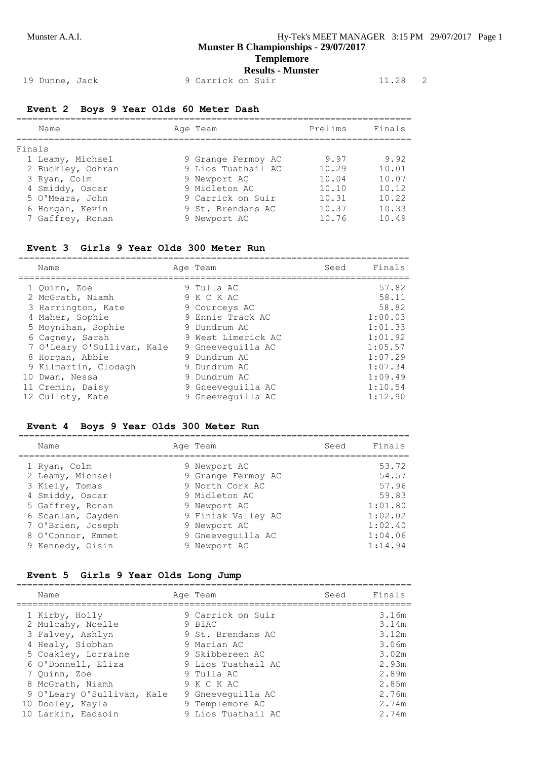**Templemore Results - Munster**

19 Dunne, Jack 9 Carrick on Suir 11.28 2

## **Event 2 Boys 9 Year Olds 60 Meter Dash**

|        | Name              | Age Team           | Prelims | Finals |
|--------|-------------------|--------------------|---------|--------|
| Finals |                   |                    |         |        |
|        | 1 Leamy, Michael  | 9 Grange Fermoy AC | 9.97    | 9.92   |
|        | 2 Buckley, Odhran | 9 Lios Tuathail AC | 10.29   | 10.01  |
|        | 3 Ryan, Colm      | 9 Newport AC       | 10.04   | 10.07  |
|        | 4 Smiddy, Oscar   | 9 Midleton AC      | 10.10   | 10.12  |
|        | 5 O'Meara, John   | 9 Carrick on Suir  | 10.31   | 10.22  |
|        | 6 Horgan, Kevin   | 9 St. Brendans AC  | 10.37   | 10.33  |
|        | 7 Gaffrey, Ronan  | 9 Newport AC       | 10.76   | 10.49  |

#### **Event 3 Girls 9 Year Olds 300 Meter Run**

| Name                       | Age Team           | Seed | Finals  |
|----------------------------|--------------------|------|---------|
| 1 Ouinn, Zoe               | 9 Tulla AC         |      | 57.82   |
| 2 McGrath, Niamh           | 9 K C K AC         |      | 58.11   |
| 3 Harrington, Kate         | 9 Courceys AC      |      | 58.82   |
| 4 Maher, Sophie            | 9 Ennis Track AC   |      | 1:00.03 |
| 5 Moynihan, Sophie         | 9 Dundrum AC       |      | 1:01.33 |
| 6 Cagney, Sarah            | 9 West Limerick AC |      | 1:01.92 |
| 7 O'Leary O'Sullivan, Kale | 9 Gneeveguilla AC  |      | 1:05.57 |
| 8 Horgan, Abbie            | 9 Dundrum AC       |      | 1:07.29 |
| 9 Kilmartin, Clodagh       | 9 Dundrum AC       |      | 1:07.34 |
| 10 Dwan, Nessa             | 9 Dundrum AC       |      | 1:09.49 |
| 11 Cremin, Daisy           | 9 Gneeveguilla AC  |      | 1:10.54 |
| 12 Culloty, Kate           | 9 Gneeveguilla AC  |      | 1:12.90 |

#### **Event 4 Boys 9 Year Olds 300 Meter Run**

| Name              | Age Team           | Seed | Finals  |
|-------------------|--------------------|------|---------|
| 1 Ryan, Colm      | 9 Newport AC       |      | 53.72   |
| 2 Leamy, Michael  | 9 Grange Fermoy AC |      | 54.57   |
| 3 Kiely, Tomas    | 9 North Cork AC    |      | 57.96   |
| 4 Smiddy, Oscar   | 9 Midleton AC      |      | 59.83   |
| 5 Gaffrey, Ronan  | 9 Newport AC       |      | 1:01.80 |
| 6 Scanlan, Cayden | 9 Finisk Valley AC |      | 1:02.02 |
| 7 O'Brien, Joseph | 9 Newport AC       |      | 1:02.40 |
| 8 O'Connor, Emmet | 9 Gneeveguilla AC  |      | 1:04.06 |
| 9 Kennedy, Oisin  | 9 Newport AC       |      | 1:14.94 |

#### **Event 5 Girls 9 Year Olds Long Jump**

| Name                       | Age Team           | Seed | Finals |
|----------------------------|--------------------|------|--------|
| 1 Kirby, Holly             | 9 Carrick on Suir  |      | 3.16m  |
| 2 Mulcahy, Noelle          | 9 BIAC             |      | 3.14m  |
| 3 Falvey, Ashlyn           | 9 St. Brendans AC  |      | 3.12m  |
| 4 Healy, Siobhan           | 9 Marian AC        |      | 3.06m  |
| 5 Coakley, Lorraine        | 9 Skibbereen AC    |      | 3.02m  |
| 6 O'Donnell, Eliza         | 9 Lios Tuathail AC |      | 2.93m  |
| 7 Ouinn, Zoe               | 9 Tulla AC         |      | 2.89m  |
| 8 McGrath, Niamh           | 9 K C K AC         |      | 2.85m  |
| 9 O'Leary O'Sullivan, Kale | 9 Gneeveguilla AC  |      | 2.76m  |
| 10 Dooley, Kayla           | 9 Templemore AC    |      | 2.74m  |
| 10 Larkin, Eadaoin         | 9 Lios Tuathail AC |      | 2.74m  |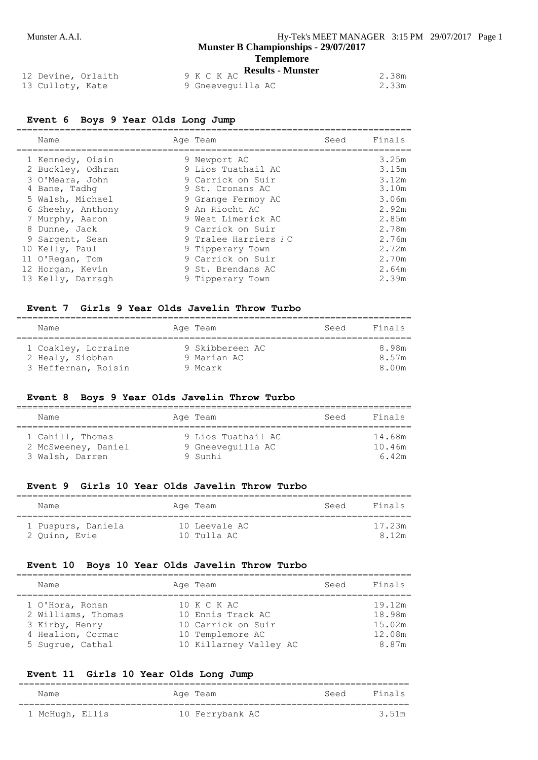# **Templemore**<br>**Results - Munster**

| 12 Devine, Orlaith | 9 K C K AC <b>Kesults - Munster</b> | 2.38m |
|--------------------|-------------------------------------|-------|
| 13 Culloty, Kate   | 9 Gneevequilla AC                   | 2.33m |

#### **Event 6 Boys 9 Year Olds Long Jump**

|   | Name                                                     | Age Team                                                   | Seed | Finals                  |
|---|----------------------------------------------------------|------------------------------------------------------------|------|-------------------------|
|   | 1 Kennedy, Oisin<br>2 Buckley, Odhran<br>3 O'Meara, John | 9 Newport AC<br>9 Lios Tuathail AC<br>9 Carrick on Suir    |      | 3.25m<br>3.15m<br>3.12m |
|   | 4 Bane, Tadhq<br>5 Walsh, Michael                        | 9 St. Cronans AC<br>9 Grange Fermoy AC                     |      | 3.10m<br>3.06m          |
|   | 6 Sheehy, Anthony<br>7 Murphy, Aaron                     | 9 An Riocht AC<br>9 West Limerick AC                       |      | 2.92m<br>2.85m          |
| 8 | Dunne, Jack<br>9 Sargent, Sean                           | 9 Carrick on Suir<br>9 Tralee Harriers <i>I</i> C          |      | 2.78m<br>2.76m          |
|   | 10 Kelly, Paul<br>11 O'Regan, Tom<br>12 Horgan, Kevin    | 9 Tipperary Town<br>9 Carrick on Suir<br>9 St. Brendans AC |      | 2.72m<br>2.70m<br>2.64m |
|   | 13 Kelly, Darragh                                        | 9 Tipperary Town                                           |      | 2.39m                   |

#### **Event 7 Girls 9 Year Olds Javelin Throw Turbo**

| Name                                    | Age Team                       | Seed | Finals         |
|-----------------------------------------|--------------------------------|------|----------------|
| 1 Coakley, Lorraine<br>2 Healy, Siobhan | 9 Skibbereen AC<br>9 Marian AC |      | 8.98m<br>8.57m |
| 3 Heffernan, Roisin                     | 9 Mcark                        |      | 8.00m          |

#### **Event 8 Boys 9 Year Olds Javelin Throw Turbo**

| Name                                                       | Age Team                                           | Seed | Finals                    |
|------------------------------------------------------------|----------------------------------------------------|------|---------------------------|
| 1 Cahill, Thomas<br>2 McSweeney, Daniel<br>3 Walsh, Darren | 9 Lios Tuathail AC<br>9 Gneeveguilla AC<br>9 Sunhi |      | 14.68m<br>10.46m<br>6.42m |

#### **Event 9 Girls 10 Year Olds Javelin Throw Turbo**

| Name                                | Age Team                     | Seed | Finals          |
|-------------------------------------|------------------------------|------|-----------------|
| 1 Puspurs, Daniela<br>2 Ouinn, Evie | 10 Leevale AC<br>10 Tulla AC |      | 17.23m<br>8 12m |

#### **Event 10 Boys 10 Year Olds Javelin Throw Turbo**

| Name                                                                                             | Age Team                                                                                             | Seed | Finals                                        |
|--------------------------------------------------------------------------------------------------|------------------------------------------------------------------------------------------------------|------|-----------------------------------------------|
| 1 O'Hora, Ronan<br>2 Williams, Thomas<br>3 Kirby, Henry<br>4 Healion, Cormac<br>5 Sugrue, Cathal | 10 K C K AC<br>10 Ennis Track AC<br>10 Carrick on Suir<br>10 Templemore AC<br>10 Killarney Valley AC |      | 19.12m<br>18.98m<br>15.02m<br>12.08m<br>8.87m |

#### **Event 11 Girls 10 Year Olds Long Jump**

| Name            |  | Age Team        | Seed | Finals |
|-----------------|--|-----------------|------|--------|
| 1 McHugh, Ellis |  | 10 Ferrybank AC |      | 3.51m  |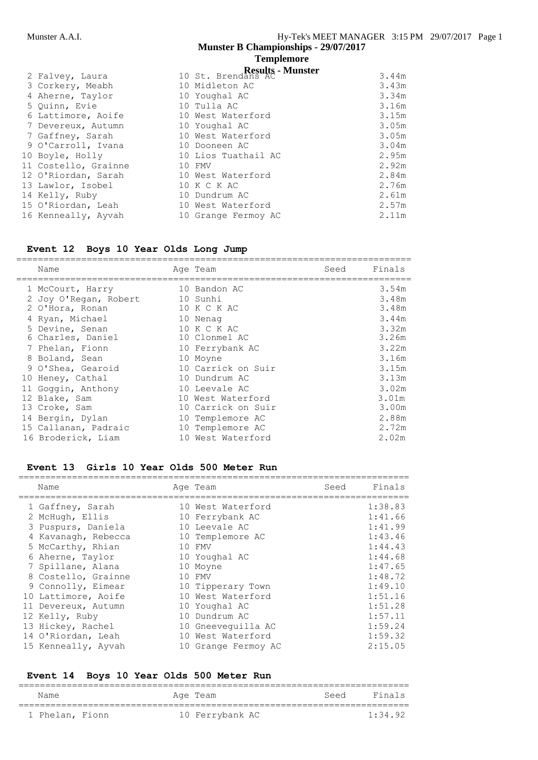|                                                                                                 | <b>Templemore</b> |
|-------------------------------------------------------------------------------------------------|-------------------|
| $\mathbf{D}_{\alpha\alpha\gamma}$ $\mathbf{H}_{\alpha}$ $\mathbf{M}_{\gamma\gamma\alpha\alpha}$ |                   |

| 2 Falvey, Laura      | 10 St. Brendans AC - Munster | 3.44m |
|----------------------|------------------------------|-------|
| 3 Corkery, Meabh     | 10 Midleton AC               | 3.43m |
| 4 Aherne, Taylor     | 10 Youghal AC                | 3.34m |
| 5 Ouinn, Evie        | 10 Tulla AC                  | 3.16m |
| 6 Lattimore, Aoife   | 10 West Waterford            | 3.15m |
| 7 Devereux, Autumn   | 10 Youghal AC                | 3.05m |
| 7 Gaffney, Sarah     | 10 West Waterford            | 3.05m |
| 9 O'Carroll, Ivana   | 10 Dooneen AC                | 3.04m |
| 10 Boyle, Holly      | 10 Lios Tuathail AC          | 2.95m |
| 11 Costello, Grainne | 10 FMV                       | 2.92m |
| 12 O'Riordan, Sarah  | 10 West Waterford            | 2.84m |
| 13 Lawlor, Isobel    | 10 K C K AC                  | 2.76m |
| 14 Kelly, Ruby       | 10 Dundrum AC                | 2.61m |
| 15 O'Riordan, Leah   | 10 West Waterford            | 2.57m |
| 16 Kenneally, Ayvah  | 10 Grange Fermoy AC          | 2.11m |
|                      |                              |       |

## **Event 12 Boys 10 Year Olds Long Jump**

| Name                  |    | Age Team           | Seed | Finals |
|-----------------------|----|--------------------|------|--------|
| 1 McCourt, Harry      |    | 10 Bandon AC       |      | 3.54m  |
| 2 Joy O'Regan, Robert |    | 10 Sunhi           |      | 3.48m  |
| 2 O'Hora, Ronan       | 10 | K C K AC           |      | 3.48m  |
| 4 Ryan, Michael       |    | 10 Nenag           |      | 3.44m  |
| 5 Devine, Senan       |    | 10 K C K AC        |      | 3.32m  |
| 6 Charles, Daniel     |    | 10 Clonmel AC      |      | 3.26m  |
| 7 Phelan, Fionn       |    | 10 Ferrybank AC    |      | 3.22m  |
| 8 Boland, Sean        |    | 10 Moyne           |      | 3.16m  |
| 9 O'Shea, Gearoid     |    | 10 Carrick on Suir |      | 3.15m  |
| 10 Heney, Cathal      |    | 10 Dundrum AC      |      | 3.13m  |
| 11 Goggin, Anthony    |    | 10 Leevale AC      |      | 3.02m  |
| 12 Blake, Sam         |    | 10 West Waterford  |      | 3.01m  |
| 13 Croke, Sam         |    | 10 Carrick on Suir |      | 3.00m  |
| 14 Bergin, Dylan      |    | 10 Templemore AC   |      | 2.88m  |
| 15 Callanan, Padraic  |    | 10 Templemore AC   |      | 2.72m  |
| 16 Broderick, Liam    |    | 10 West Waterford  |      | 2.02m  |

#### **Event 13 Girls 10 Year Olds 500 Meter Run**

| Name                | Age Team            | Seed | Finals  |
|---------------------|---------------------|------|---------|
| 1 Gaffney, Sarah    | 10 West Waterford   |      | 1:38.83 |
| 2 McHugh, Ellis     | 10 Ferrybank AC     |      | 1:41.66 |
| 3 Puspurs, Daniela  | 10 Leevale AC       |      | 1:41.99 |
| 4 Kavanagh, Rebecca | 10 Templemore AC    |      | 1:43.46 |
| 5 McCarthy, Rhian   | 10 FMV              |      | 1:44.43 |
| 6 Aherne, Taylor    | 10 Youghal AC       |      | 1:44.68 |
| 7 Spillane, Alana   | 10 Moyne            |      | 1:47.65 |
| 8 Costello, Grainne | 10 FMV              |      | 1:48.72 |
| 9 Connolly, Eimear  | 10 Tipperary Town   |      | 1:49.10 |
| 10 Lattimore, Aoife | 10 West Waterford   |      | 1:51.16 |
| 11 Devereux, Autumn | 10 Youghal AC       |      | 1:51.28 |
| 12 Kelly, Ruby      | 10 Dundrum AC       |      | 1:57.11 |
| 13 Hickey, Rachel   | 10 Gneevequilla AC  |      | 1:59.24 |
| 14 O'Riordan, Leah  | 10 West Waterford   |      | 1:59.32 |
| 15 Kenneally, Ayvah | 10 Grange Fermoy AC |      | 2:15.05 |

## **Event 14 Boys 10 Year Olds 500 Meter Run**

| Name            | Age Team        | Seed | Finals  |
|-----------------|-----------------|------|---------|
| 1 Phelan, Fionn | 10 Ferrybank AC |      | 1:34.92 |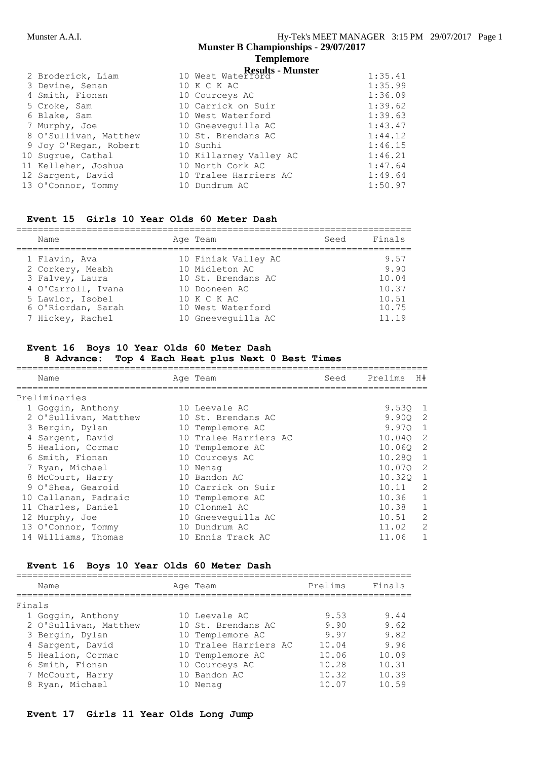## **Templemore**

| 2 Broderick, Liam     | 10 West Waterford <b>Results</b> - <b>Munster</b> | 1:35.41 |
|-----------------------|---------------------------------------------------|---------|
| 3 Devine, Senan       | 10 K C K AC                                       | 1:35.99 |
| 4 Smith, Fionan       | 10 Courceys AC                                    | 1:36.09 |
| 5 Croke, Sam          | 10 Carrick on Suir                                | 1:39.62 |
| 6 Blake, Sam          | 10 West Waterford                                 | 1:39.63 |
| 7 Murphy, Joe         | 10 Gneeveguilla AC                                | 1:43.47 |
| 8 O'Sullivan, Matthew | 10 St. Brendans AC                                | 1:44.12 |
| 9 Joy O'Regan, Robert | 10 Sunhi                                          | 1:46.15 |
| 10 Sugrue, Cathal     | 10 Killarney Valley AC                            | 1:46.21 |
| 11 Kelleher, Joshua   | 10 North Cork AC                                  | 1:47.64 |
| 12 Sargent, David     | 10 Tralee Harriers AC                             | 1:49.64 |
| 13 O'Connor, Tommy    | 10 Dundrum AC                                     | 1:50.97 |

#### **Event 15 Girls 10 Year Olds 60 Meter Dash**

| Name                                                                                           | Age Team                                                                                    | Seed | Finals                                  |
|------------------------------------------------------------------------------------------------|---------------------------------------------------------------------------------------------|------|-----------------------------------------|
| 1 Flavin, Ava<br>2 Corkery, Meabh<br>3 Falvey, Laura<br>4 O'Carroll, Ivana<br>5 Lawlor, Isobel | 10 Finisk Valley AC<br>10 Midleton AC<br>10 St. Brendans AC<br>10 Dooneen AC<br>10 K C K AC |      | 9.57<br>9.90<br>10.04<br>10.37<br>10.51 |
| 6 O'Riordan, Sarah<br>7 Hickey, Rachel                                                         | 10 West Waterford<br>10 Gneeveguilla AC                                                     |      | 10.75<br>11.19                          |

#### **Event 16 Boys 10 Year Olds 60 Meter Dash**

#### **8 Advance: Top 4 Each Heat plus Next 0 Best Times**

| Name                  | Age Team              | Seed | Prelims | H#            |
|-----------------------|-----------------------|------|---------|---------------|
| Preliminaries         |                       |      |         |               |
| 1 Goggin, Anthony     | 10 Leevale AC         |      | 9.530   |               |
| 2 O'Sullivan, Matthew | 10 St. Brendans AC    |      | 9.900   | -2            |
| 3 Bergin, Dylan       | 10 Templemore AC      |      | 9.970   | 1             |
| 4 Sargent, David      | 10 Tralee Harriers AC |      | 10.040  | -2            |
| 5 Healion, Cormac     | 10 Templemore AC      |      | 10.060  | -2            |
| 6 Smith, Fionan       | 10 Courceys AC        |      | 10.280  | 1             |
| 7 Ryan, Michael       | 10 Nenag              |      | 10.070  | -2            |
| 8 McCourt, Harry      | 10 Bandon AC          |      | 10.320  | 1             |
| 9 O'Shea, Gearoid     | 10 Carrick on Suir    |      | 10.11   | 2             |
| 10 Callanan, Padraic  | 10 Templemore AC      |      | 10.36   | 1             |
| 11 Charles, Daniel    | 10 Clonmel AC         |      | 10.38   | 1             |
| 12 Murphy, Joe        | 10 Gneeveguilla AC    |      | 10.51   | $\mathcal{L}$ |
| 13 O'Connor, Tommy    | 10 Dundrum AC         |      | 11.02   | $\mathcal{L}$ |
| 14 Williams, Thomas   | 10 Ennis Track AC     |      | 11.06   |               |

## **Event 16 Boys 10 Year Olds 60 Meter Dash**

|        | Name                  |    | Age Team              | Prelims | Finals |
|--------|-----------------------|----|-----------------------|---------|--------|
| Finals |                       |    |                       |         |        |
|        | 1 Goggin, Anthony     |    | 10 Leevale AC         | 9.53    | 9.44   |
|        | 2 O'Sullivan, Matthew |    | 10 St. Brendans AC    | 9.90    | 9.62   |
|        | 3 Bergin, Dylan       |    | 10 Templemore AC      | 9.97    | 9.82   |
|        | 4 Sargent, David      |    | 10 Tralee Harriers AC | 10.04   | 9.96   |
|        | 5 Healion, Cormac     |    | 10 Templemore AC      | 10.06   | 10.09  |
|        | 6 Smith, Fionan       |    | 10 Courceys AC        | 10.28   | 10.31  |
|        | 7 McCourt, Harry      |    | 10 Bandon AC          | 10.32   | 10.39  |
|        | 8 Ryan, Michael       | 10 | Nenag                 | 10.07   | 10.59  |
|        |                       |    |                       |         |        |

## **Event 17 Girls 11 Year Olds Long Jump**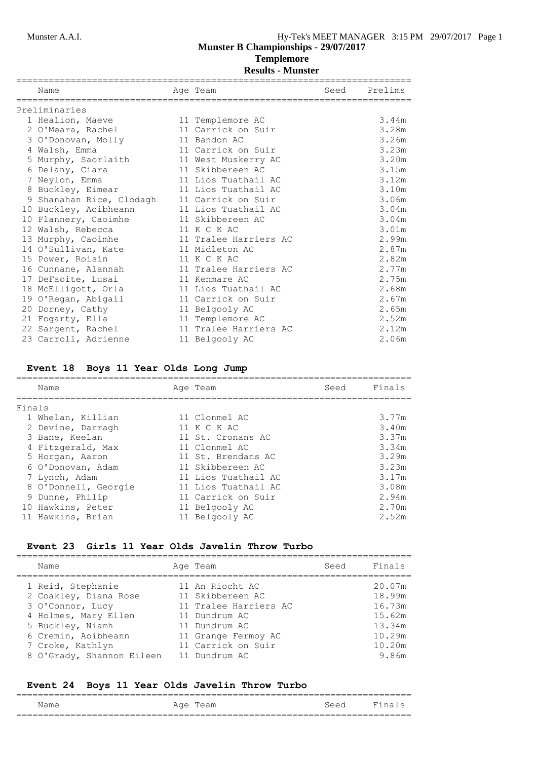## **Templemore**

| Name                     | Age Team              | Seed | Prelims |
|--------------------------|-----------------------|------|---------|
|                          |                       |      |         |
| Preliminaries            |                       |      |         |
| 1 Healion, Maeve         | 11 Templemore AC      |      | 3.44m   |
| 2 O'Meara, Rachel        | 11 Carrick on Suir    |      | 3.28m   |
| 3 O'Donovan, Molly       | 11 Bandon AC          |      | 3.26m   |
| 4 Walsh, Emma            | 11 Carrick on Suir    |      | 3.23m   |
| 5 Murphy, Saorlaith      | 11 West Muskerry AC   |      | 3.20m   |
| 6 Delany, Ciara          | 11 Skibbereen AC      |      | 3.15m   |
| 7 Neylon, Emma           | 11 Lios Tuathail AC   |      | 3.12m   |
| 8 Buckley, Eimear        | 11 Lios Tuathail AC   |      | 3.10m   |
| 9 Shanahan Rice, Clodagh | 11 Carrick on Suir    |      | 3.06m   |
| 10 Buckley, Aoibheann    | 11 Lios Tuathail AC   |      | 3.04m   |
| 10 Flannery, Caoimhe     | 11 Skibbereen AC      |      | 3.04m   |
| 12 Walsh, Rebecca        | 11 K C K AC           |      | 3.01m   |
| 13 Murphy, Caoimhe       | 11 Tralee Harriers AC |      | 2.99m   |
| 14 O'Sullivan, Kate      | 11 Midleton AC        |      | 2.87m   |
| 15 Power, Roisin         | 11 K C K AC           |      | 2.82m   |
| 16 Cunnane, Alannah      | 11 Tralee Harriers AC |      | 2.77m   |
| 17 DeFaoite, Lusai       | 11 Kenmare AC         |      | 2.75m   |
| 18 McElligott, Orla      | 11 Lios Tuathail AC   |      | 2.68m   |
| 19 O'Regan, Abigail      | 11 Carrick on Suir    |      | 2.67m   |
| 20 Dorney, Cathy         | 11 Belgooly AC        |      | 2.65m   |
| 21 Fogarty, Ella         | 11 Templemore AC      |      | 2.52m   |
| 22 Sargent, Rachel       | 11 Tralee Harriers AC |      | 2.12m   |
| 23 Carroll, Adrienne     | 11 Belgooly AC        |      | 2.06m   |

#### **Event 18 Boys 11 Year Olds Long Jump**

| Name                 | Age Team            | Seed | Finals |
|----------------------|---------------------|------|--------|
| Finals               |                     |      |        |
|                      |                     |      |        |
| 1 Whelan, Killian    | 11 Clonmel AC       |      | 3.77m  |
| 2 Devine, Darragh    | 11 K C K AC         |      | 3.40m  |
| 3 Bane, Keelan       | 11 St. Cronans AC   |      | 3.37m  |
| 4 Fitzgerald, Max    | 11 Clonmel AC       |      | 3.34m  |
| 5 Horgan, Aaron      | 11 St. Brendans AC  |      | 3.29m  |
| 6 O'Donovan, Adam    | 11 Skibbereen AC    |      | 3.23m  |
| 7 Lynch, Adam        | 11 Lios Tuathail AC |      | 3.17m  |
| 8 O'Donnell, Georgie | 11 Lios Tuathail AC |      | 3.08m  |
| 9 Dunne, Philip      | 11 Carrick on Suir  |      | 2.94m  |
| 10 Hawkins, Peter    | 11 Belgooly AC      |      | 2.70m  |
| 11 Hawkins, Brian    | 11 Belgooly AC      |      | 2.52m  |
|                      |                     |      |        |

#### **Event 23 Girls 11 Year Olds Javelin Throw Turbo**

| Name                      | Age Team              | Seed | Finals |
|---------------------------|-----------------------|------|--------|
| 1 Reid, Stephanie         | 11 An Riocht AC       |      | 20.07m |
| 2 Coakley, Diana Rose     | 11 Skibbereen AC      |      | 18.99m |
| 3 O'Connor, Lucy          | 11 Tralee Harriers AC |      | 16.73m |
| 4 Holmes, Mary Ellen      | 11 Dundrum AC         |      | 15.62m |
| 5 Buckley, Niamh          | 11 Dundrum AC         |      | 13.34m |
| 6 Cremin, Aoibheann       | 11 Grange Fermoy AC   |      | 10.29m |
| 7 Croke, Kathlyn          | 11 Carrick on Suir    |      | 10.20m |
| 8 O'Grady, Shannon Eileen | 11 Dundrum AC         |      | 9.86m  |

#### **Event 24 Boys 11 Year Olds Javelin Throw Turbo** =========================================================================

| - -<br>Name | Aqe                |                                      |           |
|-------------|--------------------|--------------------------------------|-----------|
| ____<br>___ | __________________ | ------------------------------------ | _________ |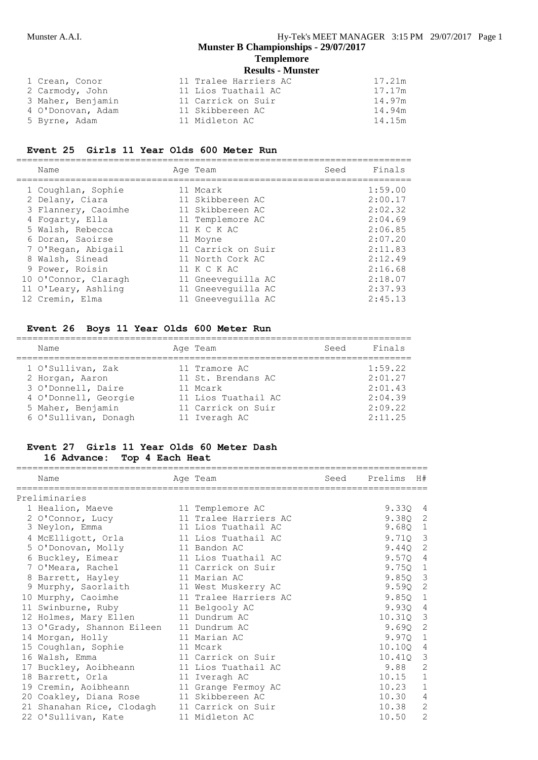#### **Templemore Results - Munster**

|                   | Results - Mullster    |        |
|-------------------|-----------------------|--------|
| 1 Crean, Conor    | 11 Tralee Harriers AC | 17.21m |
| 2 Carmody, John   | 11 Lios Tuathail AC   | 17.17m |
| 3 Maher, Benjamin | 11 Carrick on Suir    | 14.97m |
| 4 O'Donovan, Adam | 11 Skibbereen AC      | 14.94m |
| 5 Byrne, Adam     | 11 Midleton AC        | 14.15m |

### **Event 25 Girls 11 Year Olds 600 Meter Run**

| Name                 | Age Team           | Seed | Finals  |
|----------------------|--------------------|------|---------|
| 1 Coughlan, Sophie   | 11 Mcark           |      | 1:59.00 |
| 2 Delany, Ciara      | 11 Skibbereen AC   |      | 2:00.17 |
| 3 Flannery, Caoimhe  | 11 Skibbereen AC   |      | 2:02.32 |
| 4 Fogarty, Ella      | 11 Templemore AC   |      | 2:04.69 |
| 5 Walsh, Rebecca     | 11 K C K AC        |      | 2:06.85 |
| 6 Doran, Saoirse     | 11 Moyne           |      | 2:07.20 |
| 7 O'Regan, Abigail   | 11 Carrick on Suir |      | 2:11.83 |
| 8 Walsh, Sinead      | 11 North Cork AC   |      | 2:12.49 |
| 9 Power, Roisin      | 11 K C K AC        |      | 2:16.68 |
| 10 O'Connor, Claragh | 11 Gneeveguilla AC |      | 2:18.07 |
| 11 O'Leary, Ashling  | 11 Gneevequilla AC |      | 2:37.93 |
| 12 Cremin, Elma      | 11 Gneeveguilla AC |      | 2:45.13 |

## **Event 26 Boys 11 Year Olds 600 Meter Run**

| Name                 | Age Team            | Seed | Finals  |
|----------------------|---------------------|------|---------|
| 1 O'Sullivan, Zak    | 11 Tramore AC       |      | 1:59.22 |
| 2 Horgan, Aaron      | 11 St. Brendans AC  |      | 2:01.27 |
| 3 O'Donnell, Daire   | 11 Mcark            |      | 2:01.43 |
| 4 O'Donnell, Georgie | 11 Lios Tuathail AC |      | 2:04.39 |
| 5 Maher, Benjamin    | 11 Carrick on Suir  |      | 2:09.22 |
| 6 O'Sullivan, Donagh | 11 Iveragh AC       |      | 2:11.25 |

#### **Event 27 Girls 11 Year Olds 60 Meter Dash 16 Advance: Top 4 Each Heat**

| Name                                         | Age Team              | Seed | Prelims | H#                      |
|----------------------------------------------|-----------------------|------|---------|-------------------------|
| Preliminaries                                |                       |      |         |                         |
| 1 Healion, Maeve                             | 11 Templemore AC      |      | 9.330 4 |                         |
| 2 O'Connor, Lucy                             | 11 Tralee Harriers AC |      | 9.380   | -2                      |
| 3 Neylon, Emma                               | 11 Lios Tuathail AC   |      | 9.68Q   | $\mathbf{1}$            |
| 4 McElligott, Orla                           | 11 Lios Tuathail AC   |      | 9.71Q   | 3                       |
| 5 O'Donovan, Molly                           | 11 Bandon AC          |      | 9.440   | 2                       |
| 6 Buckley, Eimear                            | 11 Lios Tuathail AC   |      | 9.570   | 4                       |
| 7 O'Meara, Rachel                            | 11 Carrick on Suir    |      | 9.750   | $\mathbf{1}$            |
| 8 Barrett, Hayley                            | 11 Marian AC          |      | 9.85Q   | $\overline{\mathbf{3}}$ |
| 9 Murphy, Saorlaith                          | 11 West Muskerry AC   |      | 9.590   | $\overline{c}$          |
| 10 Murphy, Caoimhe                           | 11 Tralee Harriers AC |      | 9.85Q   | 1                       |
| 11 Swinburne, Ruby                           | 11 Belgooly AC        |      | 9.930   | $\overline{4}$          |
| 12 Holmes, Mary Ellen                        | 11 Dundrum AC         |      | 10.310  | 3                       |
| 13 O'Grady, Shannon Eileen                   | 11 Dundrum AC         |      | 9.690   | 2                       |
| 14 Morgan, Holly                             | 11 Marian AC          |      | 9.97Q   | $\mathbf{1}$            |
| 15 Coughlan, Sophie                          | 11 Mcark              |      | 10.100  | 4                       |
| 16 Walsh, Emma                               | 11 Carrick on Suir    |      | 10.410  | 3                       |
| 17 Buckley, Aoibheann                        | 11 Lios Tuathail AC   |      | 9.88    | $\overline{2}$          |
| 18 Barrett, Orla                             | 11 Iveragh AC         |      | 10.15   | $\mathbf 1$             |
| 19 Cremin, Aoibheann                         | 11 Grange Fermoy AC   |      | 10.23   | $\mathbf{1}$            |
| 20 Coakley, Diana Rose                       | 11 Skibbereen AC      |      | 10.30   | 4                       |
| 21 Shanahan Rice, Clodagh 11 Carrick on Suir |                       |      | 10.38   | $\overline{2}$          |
| 22 O'Sullivan, Kate                          | 11 Midleton AC        |      | 10.50   | $\overline{2}$          |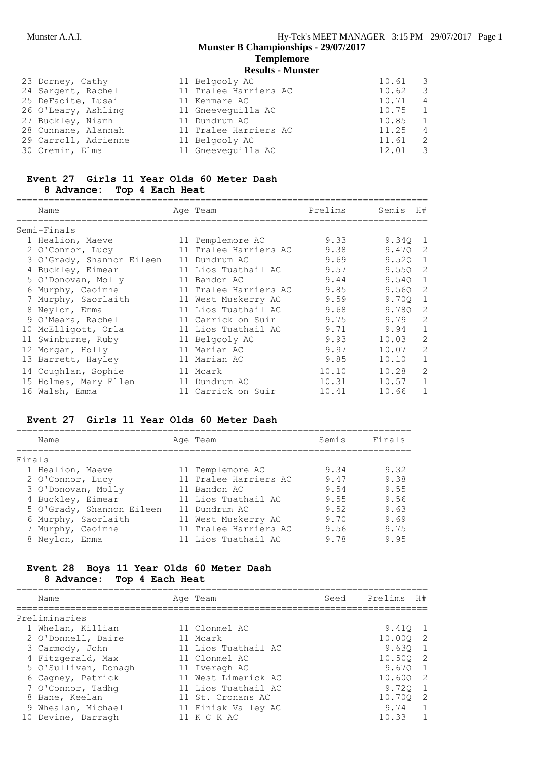#### **Templemore Results - Munster**

|                                                                                                                                                                            | 10.61                                                                                                                                                            | $\overline{\phantom{a}}$ |
|----------------------------------------------------------------------------------------------------------------------------------------------------------------------------|------------------------------------------------------------------------------------------------------------------------------------------------------------------|--------------------------|
|                                                                                                                                                                            | 10.62                                                                                                                                                            | $\overline{\mathbf{3}}$  |
|                                                                                                                                                                            | 10.71                                                                                                                                                            | $\overline{4}$           |
|                                                                                                                                                                            | 10.75                                                                                                                                                            | $\overline{1}$           |
|                                                                                                                                                                            | 10.85                                                                                                                                                            | $\overline{1}$           |
|                                                                                                                                                                            | 11.25                                                                                                                                                            | $\overline{4}$           |
|                                                                                                                                                                            | 11.61                                                                                                                                                            | $\overline{2}$           |
|                                                                                                                                                                            | 12.01                                                                                                                                                            | $\overline{\mathbf{3}}$  |
| 23 Dorney, Cathy<br>24 Sargent, Rachel<br>25 DeFaoite, Lusai<br>26 O'Leary, Ashling<br>27 Buckley, Niamh<br>28 Cunnane, Alannah<br>29 Carroll, Adrienne<br>30 Cremin, Elma | 11 Belgooly AC<br>11 Tralee Harriers AC<br>11 Kenmare AC<br>11 Gneeveguilla AC<br>11 Dundrum AC<br>11 Tralee Harriers AC<br>11 Belgooly AC<br>11 Gneeveguilla AC |                          |

#### **Event 27 Girls 11 Year Olds 60 Meter Dash 8 Advance: Top 4 Each Heat**

| Name                      | Age Team              | Prelims | Semis | H#            |
|---------------------------|-----------------------|---------|-------|---------------|
| Semi-Finals               |                       |         |       |               |
| 1 Healion, Maeve          | 11 Templemore AC      | 9.33    | 9.340 | 1             |
| 2 O'Connor, Lucy          | 11 Tralee Harriers AC | 9.38    | 9.470 | 2             |
| 3 O'Grady, Shannon Eileen | 11 Dundrum AC         | 9.69    | 9.520 | 1             |
| 4 Buckley, Eimear         | 11 Lios Tuathail AC   | 9.57    | 9.550 | 2             |
| 5 O'Donovan, Molly        | 11 Bandon AC          | 9.44    | 9.540 | 1             |
| 6 Murphy, Caoimhe         | 11 Tralee Harriers AC | 9.85    | 9.560 | -2            |
| 7 Murphy, Saorlaith       | 11 West Muskerry AC   | 9.59    | 9.700 | $\mathbf{1}$  |
| 8 Neylon, Emma            | 11 Lios Tuathail AC   | 9.68    | 9.780 | 2             |
| 9 O'Meara, Rachel         | 11 Carrick on Suir    | 9.75    | 9.79  | 2             |
| 10 McElligott, Orla       | 11 Lios Tuathail AC   | 9.71    | 9.94  | $\mathbf{1}$  |
| 11 Swinburne, Ruby        | 11 Belgooly AC        | 9.93    | 10.03 | $\mathcal{L}$ |
| 12 Morgan, Holly          | 11 Marian AC          | 9.97    | 10.07 | 2             |
| 13 Barrett, Hayley        | 11 Marian AC          | 9.85    | 10.10 | 1             |
| 14 Coughlan, Sophie       | 11 Mcark              | 10.10   | 10.28 | $\mathcal{D}$ |
| 15 Holmes, Mary Ellen     | 11 Dundrum AC         | 10.31   | 10.57 |               |
| 16 Walsh, Emma            | 11 Carrick on Suir    | 10.41   | 10.66 |               |

## **Event 27 Girls 11 Year Olds 60 Meter Dash**

| Name                      |  | Semis                                                                                                                                                                                | Finals |
|---------------------------|--|--------------------------------------------------------------------------------------------------------------------------------------------------------------------------------------|--------|
| Finals                    |  |                                                                                                                                                                                      |        |
| 1 Healion, Maeve          |  | 9.34                                                                                                                                                                                 | 9.32   |
| 2 O'Connor, Lucy          |  | 9.47                                                                                                                                                                                 | 9.38   |
| 3 O'Donovan, Molly        |  | 9.54                                                                                                                                                                                 | 9.55   |
| 4 Buckley, Eimear         |  | 9.55                                                                                                                                                                                 | 9.56   |
| 5 O'Grady, Shannon Eileen |  | 9.52                                                                                                                                                                                 | 9.63   |
| 6 Murphy, Saorlaith       |  | 9.70                                                                                                                                                                                 | 9.69   |
| 7 Murphy, Caoimhe         |  | 9.56                                                                                                                                                                                 | 9.75   |
| 8 Neylon, Emma            |  | 9.78                                                                                                                                                                                 | 9.95   |
|                           |  | Age Team<br>11 Templemore AC<br>11 Tralee Harriers AC<br>11 Bandon AC<br>11 Lios Tuathail AC<br>11 Dundrum AC<br>11 West Muskerry AC<br>11 Tralee Harriers AC<br>11 Lios Tuathail AC |        |

#### **Event 28 Boys 11 Year Olds 60 Meter Dash 8 Advance: Top 4 Each Heat**

| Prelims<br>H#           |
|-------------------------|
|                         |
| 9.410 1                 |
| 10.000 2                |
| 9.630<br>$\overline{1}$ |
| 10.500 2                |
| 9.6701                  |
| 10.600 2                |
| 9.720<br>$\overline{1}$ |
| 10.700 2                |
| 9.74<br>$\overline{1}$  |
| $\overline{1}$<br>10.33 |
|                         |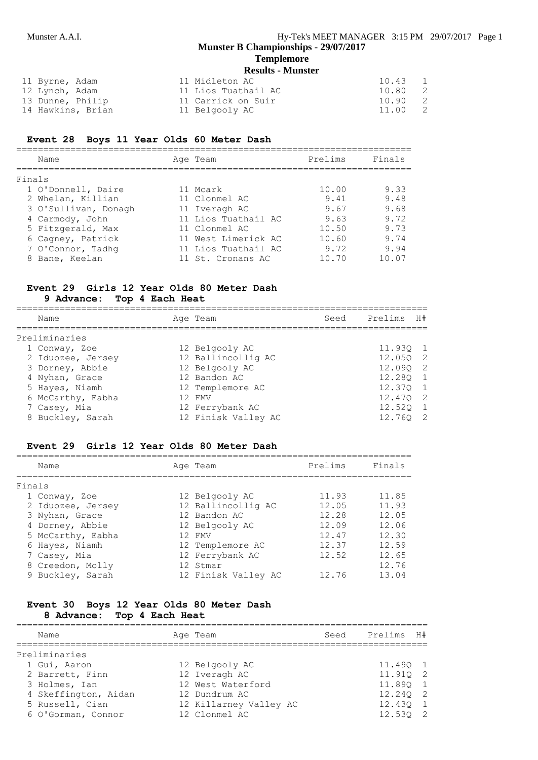#### Munster A.A.I. **Munster A.A.I. Hy-Tek's MEET MANAGER** 3:15 PM 29/07/2017 Page 1 **Munster B Championships - 29/07/2017 Templemore**

### **Results - Munster**

| 11 Byrne, Adam |                   | 11 Midleton AC      | 10.43 |                            |     |
|----------------|-------------------|---------------------|-------|----------------------------|-----|
| 12 Lynch, Adam |                   | 11 Lios Tuathail AC | 10.80 | $\overline{\phantom{0}}^2$ |     |
|                | 13 Dunne, Philip  | 11 Carrick on Suir  | 10.90 |                            | - 2 |
|                | 14 Hawkins, Brian | 11 Belgooly AC      | 11.00 | $\overline{\phantom{0}}^2$ |     |

#### **Event 28 Boys 11 Year Olds 60 Meter Dash**

| Name                 | Age Team            | Prelims | Finals |
|----------------------|---------------------|---------|--------|
| Finals               |                     |         |        |
| 1 O'Donnell, Daire   | 11 Mcark            | 10.00   | 9.33   |
| 2 Whelan, Killian    | 11 Clonmel AC       | 9.41    | 9.48   |
| 3 O'Sullivan, Donagh | 11 Iveragh AC       | 9.67    | 9.68   |
| 4 Carmody, John      | 11 Lios Tuathail AC | 9.63    | 9.72   |
| 5 Fitzgerald, Max    | 11 Clonmel AC       | 10.50   | 9.73   |
| 6 Cagney, Patrick    | 11 West Limerick AC | 10.60   | 9.74   |
| 7 O'Connor, Tadhq    | 11 Lios Tuathail AC | 9.72    | 9.94   |
| Bane, Keelan         | 11 St. Cronans AC   | 10.70   | 10.07  |
|                      |                     |         |        |

## **Event 29 Girls 12 Year Olds 80 Meter Dash**

#### **9 Advance: Top 4 Each Heat**

| Name              | Age Team            | Seed | Prelims H# |     |
|-------------------|---------------------|------|------------|-----|
| Preliminaries     |                     |      |            |     |
| 1 Conway, Zoe     | 12 Belgooly AC      |      | $11.93Q$ 1 |     |
| 2 Iduozee, Jersey | 12 Ballincollig AC  |      | 12.050 2   |     |
| 3 Dorney, Abbie   | 12 Belgooly AC      |      | 12.090     | - 2 |
| 4 Nyhan, Grace    | 12 Bandon AC        |      | 12.280 1   |     |
| 5 Hayes, Niamh    | 12 Templemore AC    |      | 12.370 1   |     |
| 6 McCarthy, Eabha | 12 FMV              |      | 12.470 2   |     |
| 7 Casey, Mia      | 12 Ferrybank AC     |      | 12.520     |     |
| 8 Buckley, Sarah  | 12 Finisk Valley AC |      | 12.760     | - 2 |

#### **Event 29 Girls 12 Year Olds 80 Meter Dash**

| Name   |                   |  | Age Team            | Prelims | Finals |  |  |  |  |  |
|--------|-------------------|--|---------------------|---------|--------|--|--|--|--|--|
| Finals |                   |  |                     |         |        |  |  |  |  |  |
|        | 1 Conway, Zoe     |  | 12 Belgooly AC      | 11.93   | 11.85  |  |  |  |  |  |
|        | 2 Iduozee, Jersey |  | 12 Ballincollig AC  | 12.05   | 11.93  |  |  |  |  |  |
|        | 3 Nyhan, Grace    |  | 12 Bandon AC        | 12.28   | 12.05  |  |  |  |  |  |
|        | 4 Dorney, Abbie   |  | 12 Belgooly AC      | 12.09   | 12.06  |  |  |  |  |  |
|        | 5 McCarthy, Eabha |  | 12 FMV              | 12.47   | 12.30  |  |  |  |  |  |
|        | 6 Hayes, Niamh    |  | 12 Templemore AC    | 12.37   | 12.59  |  |  |  |  |  |
|        | 7 Casey, Mia      |  | 12 Ferrybank AC     | 12.52   | 12.65  |  |  |  |  |  |
|        | 8 Creedon, Molly  |  | 12 Stmar            |         | 12.76  |  |  |  |  |  |
|        | 9 Buckley, Sarah  |  | 12 Finisk Valley AC | 12.76   | 13.04  |  |  |  |  |  |

#### **Event 30 Boys 12 Year Olds 80 Meter Dash 8 Advance: Top 4 Each Heat**

| Name                 | Age Team               | Seed | Prelims H# |  |
|----------------------|------------------------|------|------------|--|
| Preliminaries        |                        |      |            |  |
| 1 Gui, Aaron         | 12 Belgooly AC         |      | 11.490 1   |  |
| 2 Barrett, Finn      | 12 Iveragh AC          |      | 11.910 2   |  |
| 3 Holmes, Ian        | 12 West Waterford      |      | 11.890 1   |  |
| 4 Skeffington, Aidan | 12 Dundrum AC          |      | 12.240 2   |  |
| 5 Russell, Cian      | 12 Killarney Valley AC |      | 12.430 1   |  |
| 6 O'Gorman, Connor   | 12 Clonmel AC          |      | 12.530 2   |  |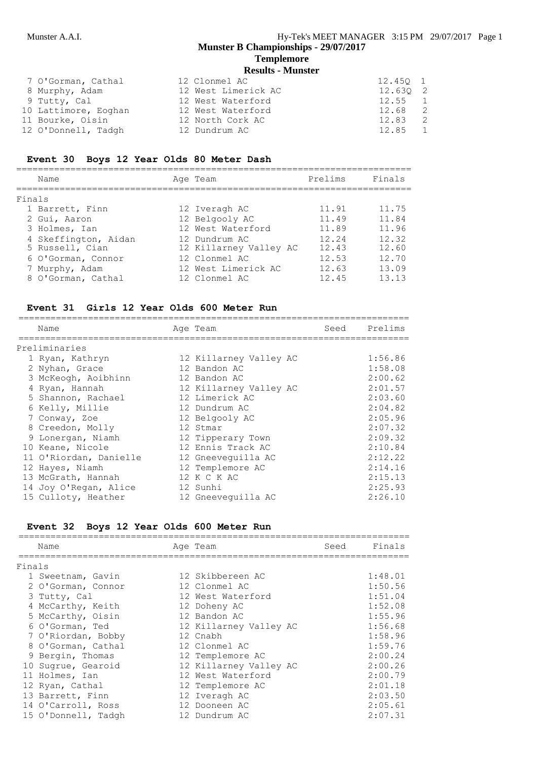## **Templemore**

| <b>Results - Munster</b> |  |
|--------------------------|--|
|--------------------------|--|

| 7 O'Gorman, Cathal   | 12 Clonmel AC       | 12.450 1 |                |
|----------------------|---------------------|----------|----------------|
| 8 Murphy, Adam       | 12 West Limerick AC | 12.630 2 |                |
| 9 Tutty, Cal         | 12 West Waterford   | 12.55    | $\overline{1}$ |
| 10 Lattimore, Eoghan | 12 West Waterford   | 12.68    | - 2            |
| 11 Bourke, Oisin     | 12 North Cork AC    | 12.83    | - 2            |
| 12 O'Donnell, Tadgh  | 12 Dundrum AC       | 12.85    | $\overline{1}$ |

#### **Event 30 Boys 12 Year Olds 80 Meter Dash**

| Name   |                                                                                                                                                           |  | Prelims                                                                                                                                    | Finals                 |  |  |  |  |  |
|--------|-----------------------------------------------------------------------------------------------------------------------------------------------------------|--|--------------------------------------------------------------------------------------------------------------------------------------------|------------------------|--|--|--|--|--|
| Finals |                                                                                                                                                           |  |                                                                                                                                            |                        |  |  |  |  |  |
|        |                                                                                                                                                           |  | 11.91                                                                                                                                      | 11.75                  |  |  |  |  |  |
|        |                                                                                                                                                           |  | 11.49                                                                                                                                      | 11.84                  |  |  |  |  |  |
|        |                                                                                                                                                           |  | 11.89                                                                                                                                      | 11.96                  |  |  |  |  |  |
|        |                                                                                                                                                           |  | 12.24                                                                                                                                      | 12.32                  |  |  |  |  |  |
|        |                                                                                                                                                           |  | 12.43                                                                                                                                      | 12.60                  |  |  |  |  |  |
|        |                                                                                                                                                           |  | 12.53                                                                                                                                      | 12.70                  |  |  |  |  |  |
|        |                                                                                                                                                           |  | 12.63                                                                                                                                      | 13.09                  |  |  |  |  |  |
|        |                                                                                                                                                           |  | 12.45                                                                                                                                      | 13.13                  |  |  |  |  |  |
|        | 1 Barrett, Finn<br>2 Gui, Aaron<br>3 Holmes, Ian<br>4 Skeffington, Aidan<br>5 Russell, Cian<br>6 O'Gorman, Connor<br>7 Murphy, Adam<br>8 O'Gorman, Cathal |  | Age Team<br>12 Iveragh AC<br>12 Belgooly AC<br>12 West Waterford<br>12 Dundrum AC<br>12 Clonmel AC<br>12 West Limerick AC<br>12 Clonmel AC | 12 Killarney Valley AC |  |  |  |  |  |

#### **Event 31 Girls 12 Year Olds 600 Meter Run**

| Name                   |  | Seed                                                                                                                                                                                                                                                                                               | Prelims |
|------------------------|--|----------------------------------------------------------------------------------------------------------------------------------------------------------------------------------------------------------------------------------------------------------------------------------------------------|---------|
| Preliminaries          |  |                                                                                                                                                                                                                                                                                                    |         |
| 1 Ryan, Kathryn        |  |                                                                                                                                                                                                                                                                                                    | 1:56.86 |
| 2 Nyhan, Grace         |  |                                                                                                                                                                                                                                                                                                    | 1:58.08 |
| 3 McKeogh, Aoibhinn    |  |                                                                                                                                                                                                                                                                                                    | 2:00.62 |
| 4 Ryan, Hannah         |  |                                                                                                                                                                                                                                                                                                    | 2:01.57 |
| 5 Shannon, Rachael     |  |                                                                                                                                                                                                                                                                                                    | 2:03.60 |
| 6 Kelly, Millie        |  |                                                                                                                                                                                                                                                                                                    | 2:04.82 |
| 7 Conway, Zoe          |  |                                                                                                                                                                                                                                                                                                    | 2:05.96 |
| 8 Creedon, Molly       |  |                                                                                                                                                                                                                                                                                                    | 2:07.32 |
| 9 Lonergan, Niamh      |  |                                                                                                                                                                                                                                                                                                    | 2:09.32 |
| 10 Keane, Nicole       |  |                                                                                                                                                                                                                                                                                                    | 2:10.84 |
| 11 O'Riordan, Danielle |  |                                                                                                                                                                                                                                                                                                    | 2:12.22 |
| 12 Hayes, Niamh        |  |                                                                                                                                                                                                                                                                                                    | 2:14.16 |
| 13 McGrath, Hannah     |  |                                                                                                                                                                                                                                                                                                    | 2:15.13 |
| 14 Joy O'Regan, Alice  |  |                                                                                                                                                                                                                                                                                                    | 2:25.93 |
| 15 Culloty, Heather    |  |                                                                                                                                                                                                                                                                                                    | 2:26.10 |
|                        |  | Age Team<br>12 Killarney Valley AC<br>12 Bandon AC<br>12 Bandon AC<br>12 Killarney Valley AC<br>12 Limerick AC<br>12 Dundrum AC<br>12 Belgooly AC<br>12 Stmar<br>12 Tipperary Town<br>12 Ennis Track AC<br>12 Gneeveguilla AC<br>12 Templemore AC<br>12 K C K AC<br>12 Sunhi<br>12 Gneevequilla AC |         |

## **Event 32 Boys 12 Year Olds 600 Meter Run**

|        | Name                | Age Team               | Seed | Finals  |
|--------|---------------------|------------------------|------|---------|
| Finals |                     |                        |      |         |
|        | 1 Sweetnam, Gavin   | 12 Skibbereen AC       |      | 1:48.01 |
|        | 2 O'Gorman, Connor  | 12 Clonmel AC          |      | 1:50.56 |
|        | 3 Tutty, Cal        | 12 West Waterford      |      | 1:51.04 |
|        | 4 McCarthy, Keith   | 12 Doheny AC           |      | 1:52.08 |
|        | 5 McCarthy, Oisin   | 12 Bandon AC           |      | 1:55.96 |
|        | 6 O'Gorman, Ted     | 12 Killarney Valley AC |      | 1:56.68 |
|        | 7 O'Riordan, Bobby  | 12 Cnabh               |      | 1:58.96 |
|        | 8 O'Gorman, Cathal  | 12 Clonmel AC          |      | 1:59.76 |
|        | 9 Bergin, Thomas    | 12 Templemore AC       |      | 2:00.24 |
|        | 10 Sugrue, Gearoid  | 12 Killarney Valley AC |      | 2:00.26 |
|        | 11 Holmes, Ian      | 12 West Waterford      |      | 2:00.79 |
|        | 12 Ryan, Cathal     | 12 Templemore AC       |      | 2:01.18 |
|        | 13 Barrett, Finn    | 12 Iveragh AC          |      | 2:03.50 |
|        | 14 O'Carroll, Ross  | 12 Dooneen AC          |      | 2:05.61 |
|        | 15 O'Donnell, Tadgh | 12 Dundrum AC          |      | 2:07.31 |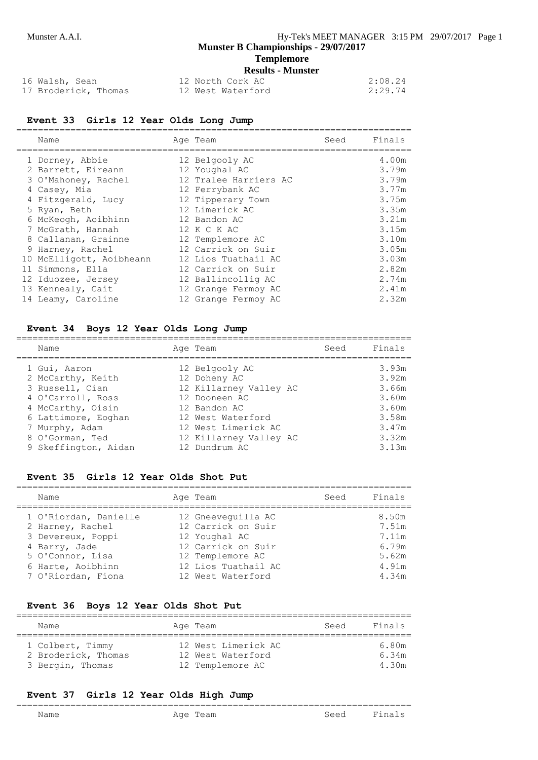#### **Templemore Results - Munster**

| 16 Walsh, Sean       | 12 North Cork AC  | 2:08.24 |
|----------------------|-------------------|---------|
| 17 Broderick, Thomas | 12 West Waterford | 2:29.74 |

#### **Event 33 Girls 12 Year Olds Long Jump**

| Name                     | Age Team              | Seed | Finals |
|--------------------------|-----------------------|------|--------|
| 1 Dorney, Abbie          | 12 Belgooly AC        |      | 4.00m  |
| 2 Barrett, Eireann       | 12 Youghal AC         |      | 3.79m  |
| 3 O'Mahoney, Rachel      | 12 Tralee Harriers AC |      | 3.79m  |
| 4 Casey, Mia             | 12 Ferrybank AC       |      | 3.77m  |
| 4 Fitzgerald, Lucy       | 12 Tipperary Town     |      | 3.75m  |
| 5 Ryan, Beth             | 12 Limerick AC        |      | 3.35m  |
| 6 McKeogh, Aoibhinn      | 12 Bandon AC          |      | 3.21m  |
| 7 McGrath, Hannah        | 12 K C K AC           |      | 3.15m  |
| 8 Callanan, Grainne      | 12 Templemore AC      |      | 3.10m  |
| 9 Harney, Rachel         | 12 Carrick on Suir    |      | 3.05m  |
| 10 McElligott, Aoibheann | 12 Lios Tuathail AC   |      | 3.03m  |
| 11 Simmons, Ella         | 12 Carrick on Suir    |      | 2.82m  |
| 12 Iduozee, Jersey       | 12 Ballincollig AC    |      | 2.74m  |
| 13 Kennealy, Cait        | 12 Grange Fermoy AC   |      | 2.41m  |
| 14 Leamy, Caroline       | 12 Grange Fermoy AC   |      | 2.32m  |

#### **Event 34 Boys 12 Year Olds Long Jump**

| Name                                   | Age Team                                 | Seed | Finals         |
|----------------------------------------|------------------------------------------|------|----------------|
| 1 Gui, Aaron<br>2 McCarthy, Keith      | 12 Belgooly AC<br>12 Doheny AC           |      | 3.93m<br>3.92m |
| 3 Russell, Cian                        | 12 Killarney Valley AC                   |      | 3.66m          |
| 4 O'Carroll, Ross<br>4 McCarthy, Oisin | 12 Dooneen AC<br>12 Bandon AC            |      | 3.60m<br>3.60m |
| 6 Lattimore, Eoghan<br>7 Murphy, Adam  | 12 West Waterford<br>12 West Limerick AC |      | 3.58m<br>3.47m |
| 8 O'Gorman, Ted                        | 12 Killarney Valley AC                   |      | 3.32m          |
| 9 Skeffington, Aidan                   | 12 Dundrum AC                            |      | 3.13m          |

#### **Event 35 Girls 12 Year Olds Shot Put**

| Name                                                           | Age Team                                                  | Seed | Finals                  |
|----------------------------------------------------------------|-----------------------------------------------------------|------|-------------------------|
| 1 O'Riordan, Danielle<br>2 Harney, Rachel<br>3 Devereux, Poppi | 12 Gneeveguilla AC<br>12 Carrick on Suir<br>12 Youghal AC |      | 8.50m<br>7.51m<br>7.11m |
| 4 Barry, Jade<br>5 O'Connor, Lisa                              | 12 Carrick on Suir<br>12 Templemore AC                    |      | 6.79m<br>5.62m          |
| 6 Harte, Aoibhinn<br>7 O'Riordan, Fiona                        | 12 Lios Tuathail AC<br>12 West Waterford                  |      | 4.91m<br>4.34m          |

#### **Event 36 Boys 12 Year Olds Shot Put**

| Name                                                        | Age Team |                                                              | Seed | Finals                  |
|-------------------------------------------------------------|----------|--------------------------------------------------------------|------|-------------------------|
| 1 Colbert, Timmy<br>2 Broderick, Thomas<br>3 Bergin, Thomas |          | 12 West Limerick AC<br>12 West Waterford<br>12 Templemore AC |      | 6.80m<br>6.34m<br>4.30m |

#### **Event 37 Girls 12 Year Olds High Jump**

#### ========================================================================= Age Team Seed Finals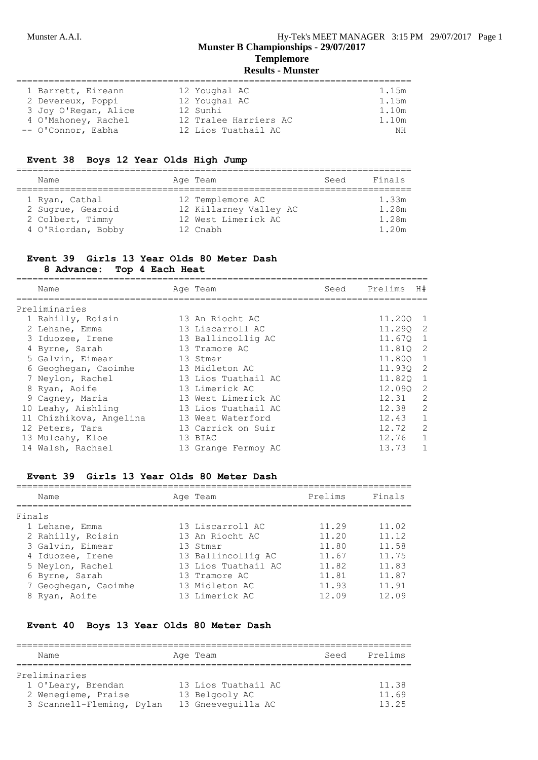## **Templemore**

## **Results - Munster**

| 1 Barrett, Eireann   | 12 Youghal AC         | 1.15m |
|----------------------|-----------------------|-------|
| 2 Devereux, Poppi    | 12 Youghal AC         | 1.15m |
| 3 Joy O'Regan, Alice | 12 Sunhi              | 1.10m |
| 4 O'Mahoney, Rachel  | 12 Tralee Harriers AC | 1.10m |
| -- O'Connor, Eabha   | 12 Lios Tuathail AC   | ΝH    |

#### **Event 38 Boys 12 Year Olds High Jump**

| Name                                                                          | Age Team                                                                      | Seed | Finals                           |
|-------------------------------------------------------------------------------|-------------------------------------------------------------------------------|------|----------------------------------|
| 1 Ryan, Cathal<br>2 Sugrue, Gearoid<br>2 Colbert, Timmy<br>4 O'Riordan, Bobby | 12 Templemore AC<br>12 Killarney Valley AC<br>12 West Limerick AC<br>12 Cnabh |      | 1.33m<br>1.28m<br>1 28m<br>1.20m |

## **Event 39 Girls 13 Year Olds 80 Meter Dash**

**8 Advance: Top 4 Each Heat**

| Name                    | Age Team            | Seed | Prelims  | H#           |
|-------------------------|---------------------|------|----------|--------------|
| Preliminaries           |                     |      |          |              |
| 1 Rahilly, Roisin       | 13 An Riocht AC     |      | 11,200   | - 1          |
| 2 Lehane, Emma          | 13 Liscarroll AC    |      | 11.290 2 |              |
| 3 Iduozee, Irene        | 13 Ballincollig AC  |      | 11.670   | 1            |
| 4 Byrne, Sarah          | 13 Tramore AC       |      | 11,810   | -2           |
| 5 Galvin, Eimear        | 13 Stmar            |      | 11,800   | 1            |
| 6 Geoghegan, Caoimhe    | 13 Midleton AC      |      | 11.930 2 |              |
| 7 Neylon, Rachel        | 13 Lios Tuathail AC |      | 11.820 1 |              |
| 8 Ryan, Aoife           | 13 Limerick AC      |      | 12.090 2 |              |
| 9 Cagney, Maria         | 13 West Limerick AC |      | 12.31    | 2            |
| 10 Leahy, Aishling      | 13 Lios Tuathail AC |      | 12.38    | 2            |
| 11 Chizhikova, Angelina | 13 West Waterford   |      | 12.43    | 1            |
| 12 Peters, Tara         | 13 Carrick on Suir  |      | 12.72    | 2            |
| 13 Mulcahy, Kloe        | 13 BIAC             |      | 12.76    | $\mathbf{1}$ |
| 14 Walsh, Rachael       | 13 Grange Fermoy AC |      | 13.73    |              |

#### **Event 39 Girls 13 Year Olds 80 Meter Dash**

|        | Name                 | Age Team            | Prelims | Finals |
|--------|----------------------|---------------------|---------|--------|
| Finals |                      |                     |         |        |
|        | 1 Lehane, Emma       | 13 Liscarroll AC    | 11.29   | 11.02  |
|        | 2 Rahilly, Roisin    | 13 An Riocht AC     | 11.20   | 11.12  |
|        | 3 Galvin, Eimear     | 13 Stmar            | 11.80   | 11.58  |
|        | 4 Iduozee, Irene     | 13 Ballincollig AC  | 11.67   | 11.75  |
|        | 5 Neylon, Rachel     | 13 Lios Tuathail AC | 11.82   | 11.83  |
|        | 6 Byrne, Sarah       | 13 Tramore AC       | 11.81   | 11.87  |
|        | 7 Geoghegan, Caoimhe | 13 Midleton AC      | 11.93   | 11.91  |
|        | 8 Ryan, Aoife        | 13 Limerick AC      | 12.09   | 12.09  |
|        |                      |                     |         |        |

#### **Event 40 Boys 13 Year Olds 80 Meter Dash**

| Name                      | Age Team            | Seed | Prelims |
|---------------------------|---------------------|------|---------|
| Preliminaries             |                     |      |         |
| 1 O'Leary, Brendan        | 13 Lios Tuathail AC |      | 11.38   |
| 2 Wenegieme, Praise       | 13 Belgooly AC      |      | 11.69   |
| 3 Scannell-Fleming, Dylan | 13 Gneeveguilla AC  |      | 13.25   |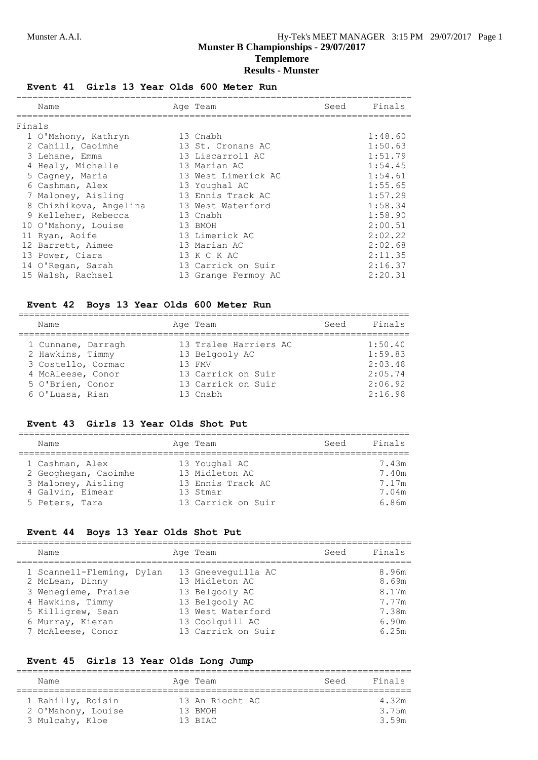### **Event 41 Girls 13 Year Olds 600 Meter Run**

|        | Name                   | Age Team            | Seed | Finals  |
|--------|------------------------|---------------------|------|---------|
| Finals |                        |                     |      |         |
|        | 1 O'Mahony, Kathryn    | 13 Cnabh            |      | 1:48.60 |
|        | 2 Cahill, Caoimhe      | 13 St. Cronans AC   |      | 1:50.63 |
|        | 3 Lehane, Emma         | 13 Liscarroll AC    |      | 1:51.79 |
|        | 4 Healy, Michelle      | 13 Marian AC        |      | 1:54.45 |
|        | 5 Cagney, Maria        | 13 West Limerick AC |      | 1:54.61 |
|        | 6 Cashman, Alex        | 13 Youghal AC       |      | 1:55.65 |
|        | 7 Maloney, Aisling     | 13 Ennis Track AC   |      | 1:57.29 |
|        | 8 Chizhikova, Angelina | 13 West Waterford   |      | 1:58.34 |
|        | 9 Kelleher, Rebecca    | 13 Cnabh            |      | 1:58.90 |
|        | 10 O'Mahony, Louise    | 13 BMOH             |      | 2:00.51 |
|        | 11 Ryan, Aoife         | 13 Limerick AC      |      | 2:02.22 |
|        | 12 Barrett, Aimee      | 13 Marian AC        |      | 2:02.68 |
|        | 13 Power, Ciara        | 13 K C K AC         |      | 2:11.35 |
|        | 14 O'Regan, Sarah      | 13 Carrick on Suir  |      | 2:16.37 |
|        | 15 Walsh, Rachael      | 13 Grange Fermoy AC |      | 2:20.31 |

#### **Event 42 Boys 13 Year Olds 600 Meter Run**

| Name                                                                                                                     | Age Team                                                                                                   | Seed | Finals                                                         |
|--------------------------------------------------------------------------------------------------------------------------|------------------------------------------------------------------------------------------------------------|------|----------------------------------------------------------------|
| 1 Cunnane, Darragh<br>2 Hawkins, Timmy<br>3 Costello, Cormac<br>4 McAleese, Conor<br>5 O'Brien, Conor<br>6 O'Luasa, Rian | 13 Tralee Harriers AC<br>13 Belgooly AC<br>1.3 FMV<br>13 Carrick on Suir<br>13 Carrick on Suir<br>13 Cnabh |      | 1:50.40<br>1:59.83<br>2:03.48<br>2:05.74<br>2:06.92<br>2:16.98 |

#### **Event 43 Girls 13 Year Olds Shot Put**

| Name                                                                                                | Age Team                                                                               | Seed | Finals                                    |
|-----------------------------------------------------------------------------------------------------|----------------------------------------------------------------------------------------|------|-------------------------------------------|
| 1 Cashman, Alex<br>2 Geoghegan, Caoimhe<br>3 Maloney, Aisling<br>4 Galvin, Eimear<br>5 Peters, Tara | 13 Youghal AC<br>13 Midleton AC<br>13 Ennis Track AC<br>13 Stmar<br>13 Carrick on Suir |      | 7.43m<br>7.40m<br>7 17m<br>7.04m<br>6.86m |

#### **Event 44 Boys 13 Year Olds Shot Put**

| Name                                         | Age Team                             | Seed | Finals         |
|----------------------------------------------|--------------------------------------|------|----------------|
| 1 Scannell-Fleming, Dylan<br>2 McLean, Dinny | 13 Gneeveguilla AC<br>13 Midleton AC |      | 8.96m<br>8.69m |
| 3 Wenegieme, Praise                          | 13 Belgooly AC                       |      | 8.17m          |
| 4 Hawkins, Timmy                             | 13 Belgooly AC                       |      | 7.77m          |
| 5 Killigrew, Sean                            | 13 West Waterford                    |      | 7.38m          |
| 6 Murray, Kieran                             | 13 Coolquill AC                      |      | 6.90m          |
| 7 McAleese, Conor                            | 13 Carrick on Suir                   |      | 6.25m          |

#### **Event 45 Girls 13 Year Olds Long Jump**

1 Rahilly, Roisin 13 An Riocht AC 4.32m 2 O'Mahony, Louise 13 BMOH 3.75m 3 Mulcahy, Kloe 13 BIAC 3.59m ========================================================================= Name **Age Team** Age Team Seed Finals =========================================================================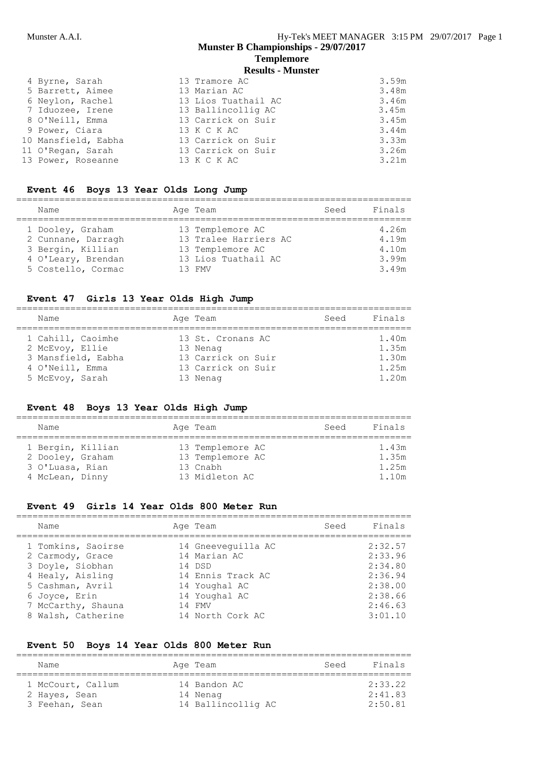#### **Templemore Results - Munster**

| 4 Byrne, Sarah      | 13 Tramore AC       | 3.59m |
|---------------------|---------------------|-------|
| 5 Barrett, Aimee    | 13 Marian AC        | 3.48m |
| 6 Neylon, Rachel    | 13 Lios Tuathail AC | 3.46m |
| 7 Iduozee, Irene    | 13 Ballincollig AC  | 3.45m |
| 8 O'Neill, Emma     | 13 Carrick on Suir  | 3.45m |
| 9 Power, Ciara      | 13 K C K AC         | 3.44m |
| 10 Mansfield, Eabha | 13 Carrick on Suir  | 3.33m |
| 11 O'Regan, Sarah   | 13 Carrick on Suir  | 3.26m |
| 13 Power, Roseanne  | 13 K C K AC         | 3.21m |
|                     |                     |       |

#### **Event 46 Boys 13 Year Olds Long Jump**

| Name               |  | Age Team              | Seed | Finals |  |  |
|--------------------|--|-----------------------|------|--------|--|--|
|                    |  |                       |      |        |  |  |
| 1 Dooley, Graham   |  | 13 Templemore AC      |      | 4.26m  |  |  |
| 2 Cunnane, Darragh |  | 13 Tralee Harriers AC |      | 4.19m  |  |  |
| 3 Bergin, Killian  |  | 13 Templemore AC      |      | 4.10m  |  |  |
| 4 O'Leary, Brendan |  | 13 Lios Tuathail AC   |      | 3.99m  |  |  |
| 5 Costello, Cormac |  | 13 FMV                |      | 3.49m  |  |  |

#### **Event 47 Girls 13 Year Olds High Jump**

| Name                                 | Age Team                      | Seed | Finals         |
|--------------------------------------|-------------------------------|------|----------------|
| 1 Cahill, Caoimhe<br>2 McEvoy, Ellie | 13 St. Cronans AC<br>13 Nenag |      | 1.40m<br>1.35m |
| 3 Mansfield, Eabha                   | 13 Carrick on Suir            |      | 1.30m          |
| 4 O'Neill, Emma                      | 13 Carrick on Suir            |      | 1.25m          |
| 5 McEvoy, Sarah                      | 13 Nenag                      |      | 1.20m          |

#### **Event 48 Boys 13 Year Olds High Jump**

| Name                                                                        | Age Team                                                           | Seed | Finals                           |
|-----------------------------------------------------------------------------|--------------------------------------------------------------------|------|----------------------------------|
| 1 Bergin, Killian<br>2 Dooley, Graham<br>3 O'Luasa, Rian<br>4 McLean, Dinny | 13 Templemore AC<br>13 Templemore AC<br>13 Cnabh<br>13 Midleton AC |      | 1.43m<br>1.35m<br>1.25m<br>1.10m |

#### **Event 49 Girls 14 Year Olds 800 Meter Run**

| Name                                                                                               | Age Team                                                                           | Seed | Finals                                              |
|----------------------------------------------------------------------------------------------------|------------------------------------------------------------------------------------|------|-----------------------------------------------------|
| 1 Tomkins, Saoirse<br>2 Carmody, Grace<br>3 Doyle, Siobhan<br>4 Healy, Aisling<br>5 Cashman, Avril | 14 Gneeveguilla AC<br>14 Marian AC<br>14 DSD<br>14 Ennis Track AC<br>14 Youghal AC |      | 2:32.57<br>2:33.96<br>2:34.80<br>2:36.94<br>2:38.00 |
| 6 Joyce, Erin<br>7 McCarthy, Shauna<br>8 Walsh, Catherine                                          | 14 Youghal AC<br>14 FMV<br>14 North Cork AC                                        |      | 2:38.66<br>2:46.63<br>3:01.10                       |

=========================================================================

#### **Event 50 Boys 14 Year Olds 800 Meter Run**

| Name                                                 | Age Team                                       | Seed | Finals                        |
|------------------------------------------------------|------------------------------------------------|------|-------------------------------|
| 1 McCourt, Callum<br>2 Hayes, Sean<br>3 Feehan, Sean | 14 Bandon AC<br>14 Nenag<br>14 Ballincollig AC |      | 2:33.22<br>2:41.83<br>2:50.81 |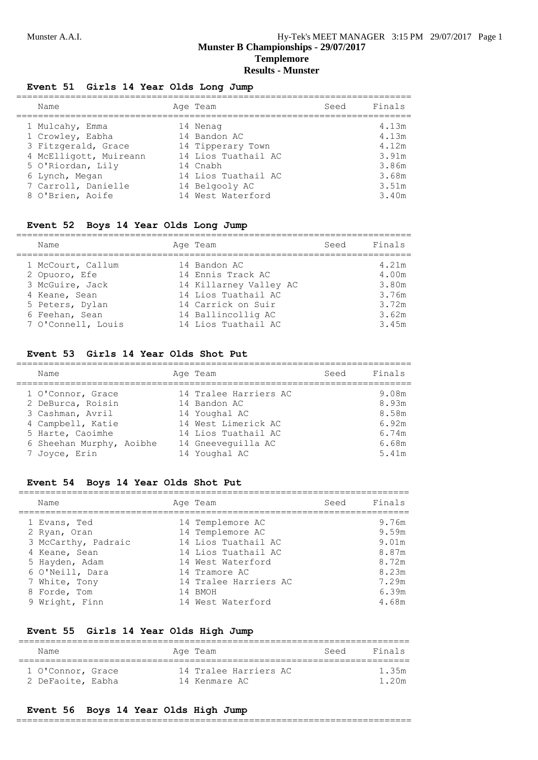#### **Event 51 Girls 14 Year Olds Long Jump**

| Name                   | Age Team            | Seed | Finals |
|------------------------|---------------------|------|--------|
| 1 Mulcahy, Emma        | 14 Nenag            |      | 4.13m  |
| 1 Crowley, Eabha       | 14 Bandon AC        |      | 4.13m  |
| 3 Fitzgerald, Grace    | 14 Tipperary Town   |      | 4.12m  |
| 4 McElligott, Muireann | 14 Lios Tuathail AC |      | 3.91m  |
| 5 O'Riordan, Lily      | 14 Cnabh            |      | 3.86m  |
| 6 Lynch, Megan         | 14 Lios Tuathail AC |      | 3.68m  |
| 7 Carroll, Danielle    | 14 Belgooly AC      |      | 3.51m  |
| 8 O'Brien, Aoife       | 14 West Waterford   |      | 3.40m  |
|                        |                     |      |        |

#### **Event 52 Boys 14 Year Olds Long Jump**

| Name                                                                                                                              | Age Team                                                                                                                                              | Seed | Finals                                                      |
|-----------------------------------------------------------------------------------------------------------------------------------|-------------------------------------------------------------------------------------------------------------------------------------------------------|------|-------------------------------------------------------------|
| 1 McCourt, Callum<br>2 Opuoro, Efe<br>3 McGuire, Jack<br>4 Keane, Sean<br>5 Peters, Dylan<br>6 Feehan, Sean<br>7 O'Connell, Louis | 14 Bandon AC<br>14 Ennis Track AC<br>14 Killarney Valley AC<br>14 Lios Tuathail AC<br>14 Carrick on Suir<br>14 Ballincollig AC<br>14 Lios Tuathail AC |      | 4.21m<br>4.00m<br>3.80m<br>3.76m<br>3.72m<br>3.62m<br>3.45m |

### **Event 53 Girls 14 Year Olds Shot Put**

| Name                                      | Age Team                              | Seed | Finals         |
|-------------------------------------------|---------------------------------------|------|----------------|
| 1 O'Connor, Grace<br>2 DeBurca, Roisin    | 14 Tralee Harriers AC<br>14 Bandon AC |      | 9.08m<br>8.93m |
| 3 Cashman, Avril<br>4 Campbell, Katie     | 14 Youghal AC<br>14 West Limerick AC  |      | 8.58m<br>6.92m |
| 5 Harte, Caoimhe                          | 14 Lios Tuathail AC                   |      | 6.74m          |
| 6 Sheehan Murphy, Aoibhe<br>7 Joyce, Erin | 14 Gneevequilla AC<br>14 Youghal AC   |      | 6.68m<br>5.41m |

### **Event 54 Boys 14 Year Olds Shot Put**

| Name                | Age Team              | Seed | Finals |
|---------------------|-----------------------|------|--------|
| 1 Evans, Ted        | 14 Templemore AC      |      | 9.76m  |
| 2 Ryan, Oran        | 14 Templemore AC      |      | 9.59m  |
| 3 McCarthy, Padraic | 14 Lios Tuathail AC   |      | 9.01m  |
| 4 Keane, Sean       | 14 Lios Tuathail AC   |      | 8.87m  |
| 5 Hayden, Adam      | 14 West Waterford     |      | 8.72m  |
| 6 O'Neill, Dara     | 14 Tramore AC         |      | 8.23m  |
| 7 White, Tony       | 14 Tralee Harriers AC |      | 7.29m  |
| 8 Forde, Tom        | 14 BMOH               |      | 6.39m  |
| 9 Wright, Finn      | 14 West Waterford     |      | 4.68m  |

#### **Event 55 Girls 14 Year Olds High Jump**

| Name                                   |  | Age Team                               | Seed | Finals        |
|----------------------------------------|--|----------------------------------------|------|---------------|
| 1 O'Connor, Grace<br>2 DeFaoite, Eabha |  | 14 Tralee Harriers AC<br>14 Kenmare AC |      | 1 35m<br>120m |

#### **Event 56 Boys 14 Year Olds High Jump**

=========================================================================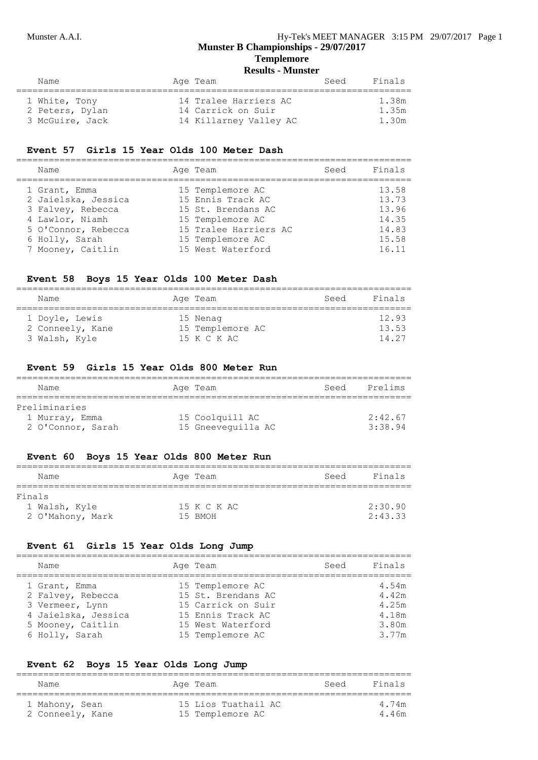## **Templemore**

**Results - Munster**

| Name            | Age Team               | Finals<br>Seed |
|-----------------|------------------------|----------------|
| 1 White, Tony   | 14 Tralee Harriers AC  | 1.38m          |
| 2 Peters, Dylan | 14 Carrick on Suir     | 1.35m          |
| 3 McGuire, Jack | 14 Killarney Valley AC | 1.30m          |

## **Event 57 Girls 15 Year Olds 100 Meter Dash**

| Name                | Age Team              | Seed | Finals |
|---------------------|-----------------------|------|--------|
| 1 Grant, Emma       | 15 Templemore AC      |      | 13.58  |
| 2 Jaielska, Jessica | 15 Ennis Track AC     |      | 13.73  |
| 3 Falvey, Rebecca   | 15 St. Brendans AC    |      | 13.96  |
| 4 Lawlor, Niamh     | 15 Templemore AC      |      | 14.35  |
| 5 O'Connor, Rebecca | 15 Tralee Harriers AC |      | 14.83  |
| 6 Holly, Sarah      | 15 Templemore AC      |      | 15.58  |
| 7 Mooney, Caitlin   | 15 West Waterford     |      | 16.11  |

#### **Event 58 Boys 15 Year Olds 100 Meter Dash**

| Name             | Age Team         | Seed | Finals |
|------------------|------------------|------|--------|
| 1 Doyle, Lewis   | 15 Nenag         |      | 12.93  |
| 2 Conneely, Kane | 15 Templemore AC |      | 13.53  |
| 3 Walsh, Kyle    | 15 K C K AC      |      | 14.27  |

#### **Event 59 Girls 15 Year Olds 800 Meter Run**

| Name                                                 | Age Team                              | Seed | Prelims            |
|------------------------------------------------------|---------------------------------------|------|--------------------|
| Preliminaries<br>1 Murray, Emma<br>2 O'Connor, Sarah | 15 Coolquill AC<br>15 Gneeveguilla AC |      | 2:42.67<br>3:38.94 |

#### **Event 60 Boys 15 Year Olds 800 Meter Run**

| Name             | Age Team    | Finals<br>Seed |
|------------------|-------------|----------------|
| Finals           |             |                |
| 1 Walsh, Kyle    | 15 K C K AC | 2:30.90        |
| 2 O'Mahony, Mark | 15 RMOH     | 2:43.33        |

### **Event 61 Girls 15 Year Olds Long Jump**

| Name                                   | Age Team                                | Seed | Finals         |
|----------------------------------------|-----------------------------------------|------|----------------|
| 1 Grant, Emma                          | 15 Templemore AC                        |      | 4.54m          |
| 2 Falvey, Rebecca                      | 15 St. Brendans AC                      |      | 4.42m          |
| 3 Vermeer, Lynn<br>4 Jaielska, Jessica | 15 Carrick on Suir<br>15 Ennis Track AC |      | 4.25m<br>4.18m |
| 5 Mooney, Caitlin                      | 15 West Waterford                       |      | 3.80m          |
| 6 Holly, Sarah                         | 15 Templemore AC                        |      | 3.77m          |
|                                        |                                         |      |                |

#### **Event 62 Boys 15 Year Olds Long Jump**

| Name             | Age Team            | Seed | Finals |
|------------------|---------------------|------|--------|
| 1 Mahony, Sean   | 15 Lios Tuathail AC |      | 4 74m  |
| 2 Conneely, Kane | 15 Templemore AC    |      | 4 46m  |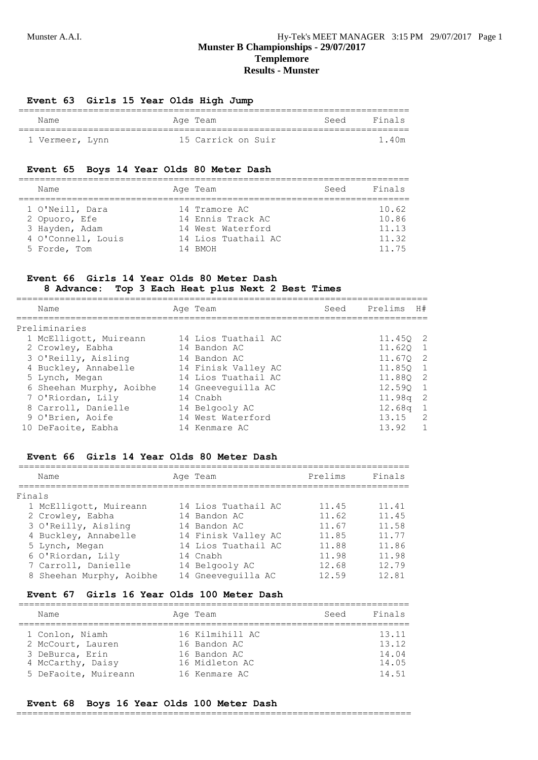#### **Event 63 Girls 15 Year Olds High Jump**

| Name            | Age Team           | Seed Finals |
|-----------------|--------------------|-------------|
| 1 Vermeer, Lynn | 15 Carrick on Suir | 1.40m       |

#### **Event 65 Boys 14 Year Olds 80 Meter Dash**

| Name                                                                                     | Age Team                                                                                  | Seed | Finals                                    |
|------------------------------------------------------------------------------------------|-------------------------------------------------------------------------------------------|------|-------------------------------------------|
| 1 O'Neill, Dara<br>2 Opuoro, Efe<br>3 Hayden, Adam<br>4 O'Connell, Louis<br>5 Forde, Tom | 14 Tramore AC<br>14 Ennis Track AC<br>14 West Waterford<br>14 Lios Tuathail AC<br>14 RMOH |      | 10.62<br>10.86<br>11.13<br>11.32<br>11 75 |

#### **Event 66 Girls 14 Year Olds 80 Meter Dash 8 Advance: Top 3 Each Heat plus Next 2 Best Times**

| Name                     | Age Team            | Seed | Prelims   | H#                         |
|--------------------------|---------------------|------|-----------|----------------------------|
| Preliminaries            |                     |      |           |                            |
| 1 McElligott, Muireann   | 14 Lios Tuathail AC |      | 11.450 2  |                            |
| 2 Crowley, Eabha         | 14 Bandon AC        |      | 11.620 1  |                            |
| 3 O'Reilly, Aisling      | 14 Bandon AC        |      | 11,670    | $\overline{2}$             |
| 4 Buckley, Annabelle     | 14 Finisk Valley AC |      | 11.850 1  |                            |
| 5 Lynch, Megan           | 14 Lios Tuathail AC |      | 11.880 2  |                            |
| 6 Sheehan Murphy, Aoibhe | 14 Gneeveguilla AC  |      | 12.590 1  |                            |
| 7 O'Riordan, Lily        | 14 Cnabh            |      | 11.98a    | $\overline{\phantom{0}}^2$ |
| 8 Carroll, Danielle      | 14 Belgooly AC      |      | 12.68q    | $\overline{1}$             |
| 9 O'Brien, Aoife         | 14 West Waterford   |      | $13.15$ 2 |                            |
| 10 DeFaoite, Eabha       | 14 Kenmare AC       |      | 13.92     | $\overline{1}$             |

#### **Event 66 Girls 14 Year Olds 80 Meter Dash**

|        | Name                     | Age Team            | Prelims | Finals |
|--------|--------------------------|---------------------|---------|--------|
| Finals |                          |                     |         |        |
|        | 1 McElligott, Muireann   | 14 Lios Tuathail AC | 11.45   | 11.41  |
|        | 2 Crowley, Eabha         | 14 Bandon AC        | 11.62   | 11.45  |
|        | 3 O'Reilly, Aisling      | 14 Bandon AC        | 11.67   | 11.58  |
|        | 4 Buckley, Annabelle     | 14 Finisk Valley AC | 11.85   | 11.77  |
|        | 5 Lynch, Megan           | 14 Lios Tuathail AC | 11.88   | 11.86  |
|        | 6 O'Riordan, Lily        | 14 Cnabh            | 11.98   | 11.98  |
|        | 7 Carroll, Danielle      | 14 Belgooly AC      | 12.68   | 12.79  |
|        | 8 Sheehan Murphy, Aoibhe | 14 Gneeveguilla AC  | 12 59   | 12.81  |

### **Event 67 Girls 16 Year Olds 100 Meter Dash**

| Name                                 | Age Team                        | Seed | Finals         |
|--------------------------------------|---------------------------------|------|----------------|
| 1 Conlon, Niamh<br>2 McCourt, Lauren | 16 Kilmihill AC<br>16 Bandon AC |      | 13.11<br>13.12 |
| 3 DeBurca, Erin<br>4 McCarthy, Daisy | 16 Bandon AC<br>16 Midleton AC  |      | 14.04<br>14.05 |
| 5 DeFaoite, Muireann                 | 16 Kenmare AC                   |      | 14.51          |

#### **Event 68 Boys 16 Year Olds 100 Meter Dash**

=========================================================================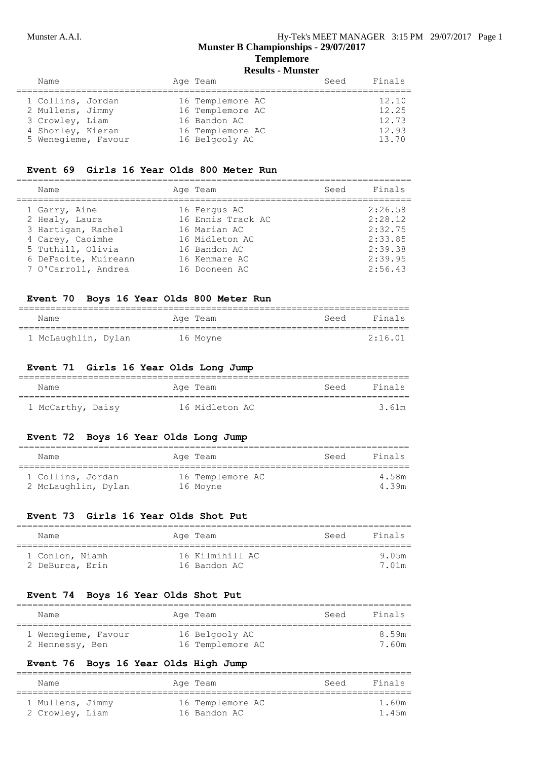## **Templemore**

**Results - Munster**

| 16 Templemore AC<br>1 Collins, Jordan<br>12.10<br>16 Templemore AC<br>12.25<br>2 Mullens, Jimmy<br>16 Bandon AC<br>12.73<br>3 Crowley, Liam<br>12.93<br>16 Templemore AC<br>4 Shorley, Kieran<br>5 Wenegieme, Favour<br>16 Belgooly AC<br>13.70 | Name | Age Team | Seed | Finals |
|-------------------------------------------------------------------------------------------------------------------------------------------------------------------------------------------------------------------------------------------------|------|----------|------|--------|
|                                                                                                                                                                                                                                                 |      |          |      |        |

#### **Event 69 Girls 16 Year Olds 800 Meter Run**

| Name                                                                      | Age Team                                                            | Seed | Finals                                   |
|---------------------------------------------------------------------------|---------------------------------------------------------------------|------|------------------------------------------|
| 1 Garry, Aine<br>2 Healy, Laura<br>3 Hartigan, Rachel<br>4 Carey, Caoimhe | 16 Fergus AC<br>16 Ennis Track AC<br>16 Marian AC<br>16 Midleton AC |      | 2:26.58<br>2:28.12<br>2:32.75<br>2:33.85 |
| 5 Tuthill, Olivia<br>6 DeFaoite, Muireann<br>7 O'Carroll, Andrea          | 16 Bandon AC<br>16 Kenmare AC<br>16 Dooneen AC                      |      | 2:39.38<br>2:39.95<br>2:56.43            |

#### **Event 70 Boys 16 Year Olds 800 Meter Run**

| Name                | Age Team | Finals<br>Seed |
|---------------------|----------|----------------|
| 1 McLaughlin, Dylan | 16 Moyne | 2:16.01        |

#### **Event 71 Girls 16 Year Olds Long Jump**

| Name              |  | Age Team       | Seed | Finals |
|-------------------|--|----------------|------|--------|
| 1 McCarthy, Daisy |  | 16 Midleton AC |      | 3.61m  |

#### **Event 72 Boys 16 Year Olds Long Jump**

| Name                                     | Age Team                     | Seed | Finals         |
|------------------------------------------|------------------------------|------|----------------|
| 1 Collins, Jordan<br>2 McLaughlin, Dylan | 16 Templemore AC<br>16 Moyne |      | 4.58m<br>4 39m |

#### **Event 73 Girls 16 Year Olds Shot Put**

| Name                               | Age Team                        | Seed | Finals          |
|------------------------------------|---------------------------------|------|-----------------|
| 1 Conlon, Niamh<br>2 DeBurca, Erin | 16 Kilmihill AC<br>16 Bandon AC |      | 9 05m<br>7 01 m |

#### **Event 74 Boys 16 Year Olds Shot Put**

| Name                | Age Team         | Seed | Finals |
|---------------------|------------------|------|--------|
| 1 Wenegieme, Favour | 16 Belgooly AC   |      | 859m   |
| 2 Hennessy, Ben     | 16 Templemore AC |      | 7.60m  |

#### **Event 76 Boys 16 Year Olds High Jump**

| Name             |  | Age Team         | Seed | Finals |
|------------------|--|------------------|------|--------|
| 1 Mullens, Jimmy |  | 16 Templemore AC |      | 1.60m  |
| 2 Crowley, Liam  |  | 16 Bandon AC     |      | 1.45m  |